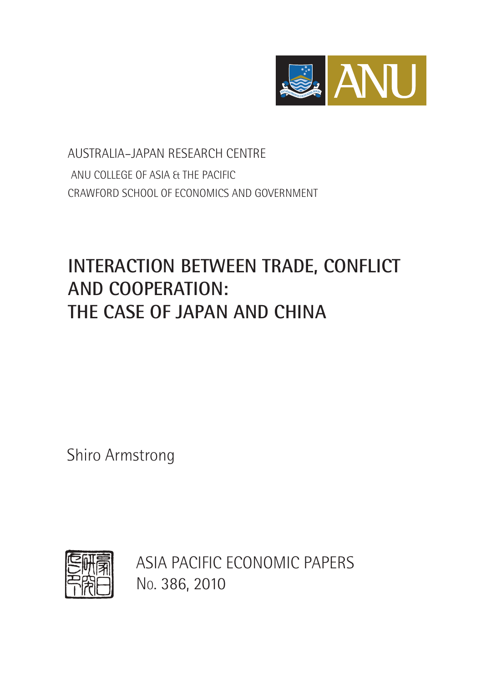

Australia–Japan Research Centre ANU College of Asia & the Pacific Crawford School of Economics and Government

## **iNTERACTION BETWEEN TRADE, CONFLICT AND COOPERATION: tHE CASE OF JAPAN AND CHINA**

Shiro Armstrong



ASIA Pacific Economic Papers No. 386, 2010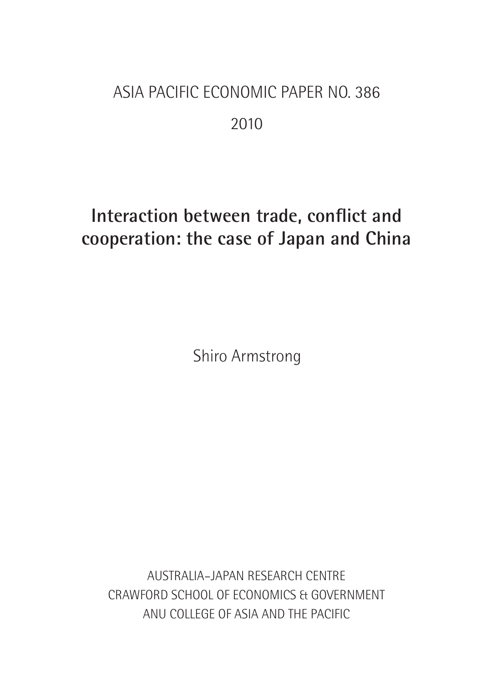# ASIA Pacific Economic Paper No. 386 2010

## **Interaction between trade, conflict and cooperation: the case of Japan and China**

Shiro Armstrong

Australia–Japan Research Centre Crawford School of Economics & Government ANU COLLEGE OF ASIA AND THE PACIFIC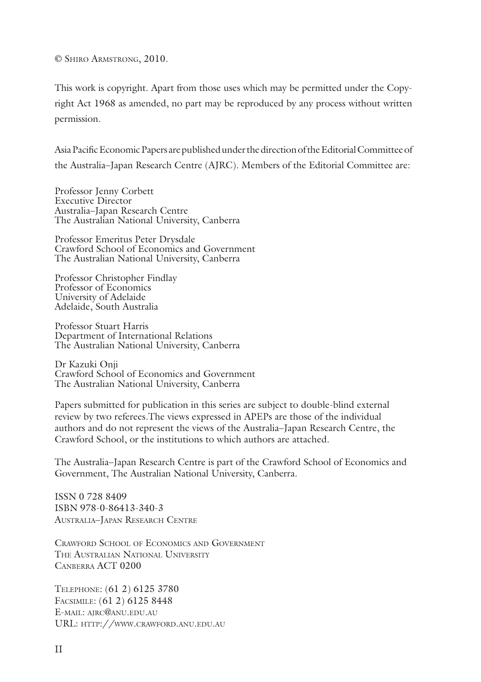© Shiro Armstrong, 2010.

This work is copyright. Apart from those uses which may be permitted under the Copyright Act 1968 as amended, no part may be reproduced by any process without written permission.

Asia Pacific Economic Papers are published under the direction of the Editorial Committee of the Australia–Japan Research Centre (AJRC). Members of the Editorial Committee are:

Professor Jenny Corbett Executive Director Australia–Japan Research Centre The Australian National University, Canberra

Professor Emeritus Peter Drysdale Crawford School of Economics and Government The Australian National University, Canberra

Professor Christopher Findlay Professor of Economics University of Adelaide Adelaide, South Australia

Professor Stuart Harris Department of International Relations The Australian National University, Canberra

Dr Kazuki Onji Crawford School of Economics and Government The Australian National University, Canberra

Papers submitted for publication in this series are subject to double-blind external review by two referees.The views expressed in APEPs are those of the individual authors and do not represent the views of the Australia–Japan Research Centre, the Crawford School, or the institutions to which authors are attached.

The Australia–Japan Research Centre is part of the Crawford School of Economics and Government, The Australian National University, Canberra.

ISSN 0 728 8409 ISBN 978-0-86413-340-3 Australia–Japan Research Centre

Crawford School of Economics and Government The Australian National University Canberra ACT 0200

Telephone: (61 2) 6125 3780 Facsimile: (61 2) 6125 8448 E-mail: ajrc@anu.edu.au URL: http://www.crawford.anu.edu.au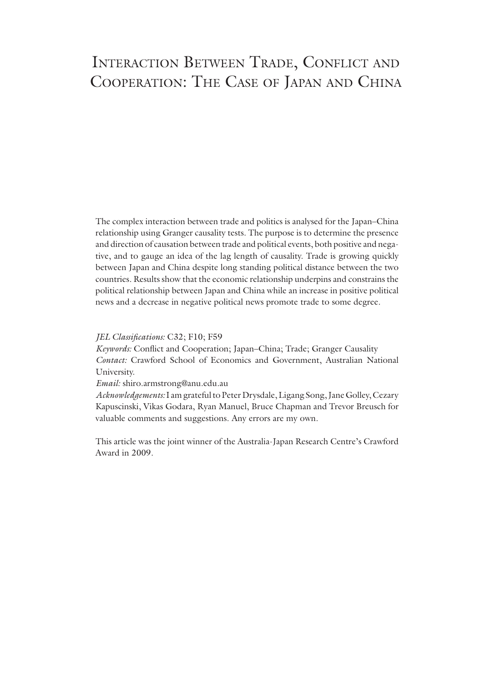## Interaction Between Trade, Conflict and Cooperation: The Case of Japan and China

The complex interaction between trade and politics is analysed for the Japan–China relationship using Granger causality tests. The purpose is to determine the presence and direction of causation between trade and political events, both positive and negative, and to gauge an idea of the lag length of causality. Trade is growing quickly between Japan and China despite long standing political distance between the two countries. Results show that the economic relationship underpins and constrains the political relationship between Japan and China while an increase in positive political news and a decrease in negative political news promote trade to some degree.

#### *JEL Classifications:* C32; F10; F59

*Keywords:* Conflict and Cooperation; Japan–China; Trade; Granger Causality *Contact:* Crawford School of Economics and Government, Australian National University.

#### *Email:* shiro.armstrong@anu.edu.au

*Acknowledgements:* I am grateful to Peter Drysdale, Ligang Song, Jane Golley, Cezary Kapuscinski, Vikas Godara, Ryan Manuel, Bruce Chapman and Trevor Breusch for valuable comments and suggestions. Any errors are my own.

This article was the joint winner of the Australia-Japan Research Centre's Crawford Award in 2009.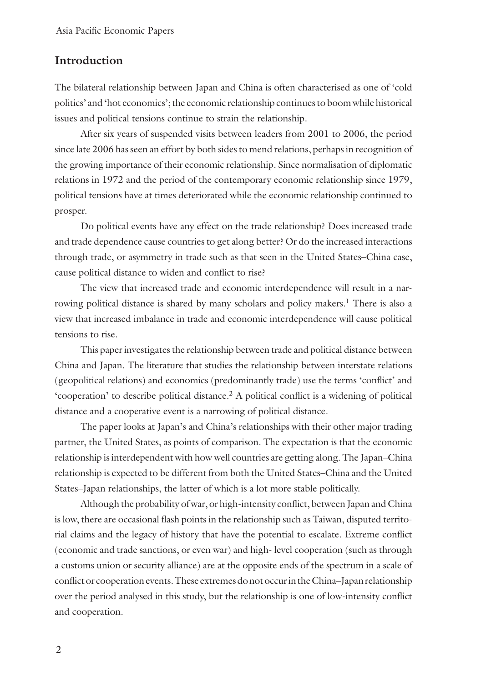## **Introduction**

The bilateral relationship between Japan and China is often characterised as one of 'cold politics' and 'hot economics'; the economic relationship continues to boom while historical issues and political tensions continue to strain the relationship.

After six years of suspended visits between leaders from 2001 to 2006, the period since late 2006 has seen an effort by both sides to mend relations, perhaps in recognition of the growing importance of their economic relationship. Since normalisation of diplomatic relations in 1972 and the period of the contemporary economic relationship since 1979, political tensions have at times deteriorated while the economic relationship continued to prosper.

Do political events have any effect on the trade relationship? Does increased trade and trade dependence cause countries to get along better? Or do the increased interactions through trade, or asymmetry in trade such as that seen in the United States–China case, cause political distance to widen and conflict to rise?

The view that increased trade and economic interdependence will result in a narrowing political distance is shared by many scholars and policy makers.<sup>1</sup> There is also a view that increased imbalance in trade and economic interdependence will cause political tensions to rise.

This paper investigates the relationship between trade and political distance between China and Japan. The literature that studies the relationship between interstate relations (geopolitical relations) and economics (predominantly trade) use the terms 'conflict' and 'cooperation' to describe political distance.2 A political conflict is a widening of political distance and a cooperative event is a narrowing of political distance.

The paper looks at Japan's and China's relationships with their other major trading partner, the United States, as points of comparison. The expectation is that the economic relationship is interdependent with how well countries are getting along. The Japan–China relationship is expected to be different from both the United States–China and the United States–Japan relationships, the latter of which is a lot more stable politically.

Although the probability of war, or high-intensity conflict, between Japan and China is low, there are occasional flash points in the relationship such as Taiwan, disputed territorial claims and the legacy of history that have the potential to escalate. Extreme conflict (economic and trade sanctions, or even war) and high- level cooperation (such as through a customs union or security alliance) are at the opposite ends of the spectrum in a scale of conflict or cooperation events. These extremes do not occur in the China–Japan relationship over the period analysed in this study, but the relationship is one of low-intensity conflict and cooperation.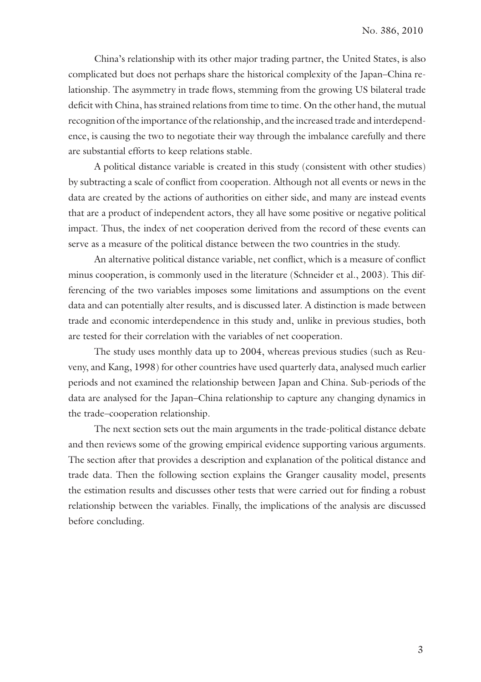China's relationship with its other major trading partner, the United States, is also complicated but does not perhaps share the historical complexity of the Japan–China relationship. The asymmetry in trade flows, stemming from the growing US bilateral trade deficit with China, has strained relations from time to time. On the other hand, the mutual recognition of the importance of the relationship, and the increased trade and interdependence, is causing the two to negotiate their way through the imbalance carefully and there are substantial efforts to keep relations stable.

A political distance variable is created in this study (consistent with other studies) by subtracting a scale of conflict from cooperation. Although not all events or news in the data are created by the actions of authorities on either side, and many are instead events that are a product of independent actors, they all have some positive or negative political impact. Thus, the index of net cooperation derived from the record of these events can serve as a measure of the political distance between the two countries in the study.

An alternative political distance variable, net conflict, which is a measure of conflict minus cooperation, is commonly used in the literature (Schneider et al., 2003). This differencing of the two variables imposes some limitations and assumptions on the event data and can potentially alter results, and is discussed later. A distinction is made between trade and economic interdependence in this study and, unlike in previous studies, both are tested for their correlation with the variables of net cooperation.

The study uses monthly data up to 2004, whereas previous studies (such as Reuveny, and Kang, 1998) for other countries have used quarterly data, analysed much earlier periods and not examined the relationship between Japan and China. Sub-periods of the data are analysed for the Japan–China relationship to capture any changing dynamics in the trade–cooperation relationship.

The next section sets out the main arguments in the trade-political distance debate and then reviews some of the growing empirical evidence supporting various arguments. The section after that provides a description and explanation of the political distance and trade data. Then the following section explains the Granger causality model, presents the estimation results and discusses other tests that were carried out for finding a robust relationship between the variables. Finally, the implications of the analysis are discussed before concluding.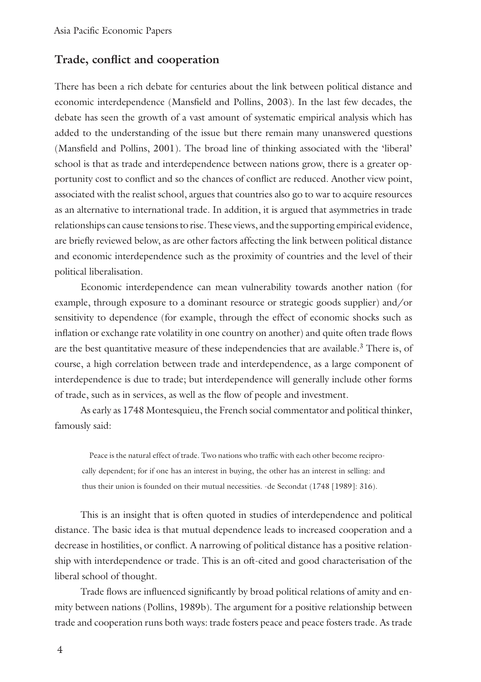#### **Trade, conflict and cooperation**

There has been a rich debate for centuries about the link between political distance and economic interdependence (Mansfield and Pollins, 2003). In the last few decades, the debate has seen the growth of a vast amount of systematic empirical analysis which has added to the understanding of the issue but there remain many unanswered questions (Mansfield and Pollins, 2001). The broad line of thinking associated with the 'liberal' school is that as trade and interdependence between nations grow, there is a greater opportunity cost to conflict and so the chances of conflict are reduced. Another view point, associated with the realist school, argues that countries also go to war to acquire resources as an alternative to international trade. In addition, it is argued that asymmetries in trade relationships can cause tensions to rise. These views, and the supporting empirical evidence, are briefly reviewed below, as are other factors affecting the link between political distance and economic interdependence such as the proximity of countries and the level of their political liberalisation.

Economic interdependence can mean vulnerability towards another nation (for example, through exposure to a dominant resource or strategic goods supplier) and/or sensitivity to dependence (for example, through the effect of economic shocks such as inflation or exchange rate volatility in one country on another) and quite often trade flows are the best quantitative measure of these independencies that are available.<sup>3</sup> There is, of course, a high correlation between trade and interdependence, as a large component of interdependence is due to trade; but interdependence will generally include other forms of trade, such as in services, as well as the flow of people and investment.

As early as 1748 Montesquieu, the French social commentator and political thinker, famously said:

Peace is the natural effect of trade. Two nations who traffic with each other become reciprocally dependent; for if one has an interest in buying, the other has an interest in selling: and thus their union is founded on their mutual necessities. -de Secondat (1748 [1989]: 316).

This is an insight that is often quoted in studies of interdependence and political distance. The basic idea is that mutual dependence leads to increased cooperation and a decrease in hostilities, or conflict. A narrowing of political distance has a positive relationship with interdependence or trade. This is an oft-cited and good characterisation of the liberal school of thought.

Trade flows are influenced significantly by broad political relations of amity and enmity between nations (Pollins, 1989b). The argument for a positive relationship between trade and cooperation runs both ways: trade fosters peace and peace fosters trade. As trade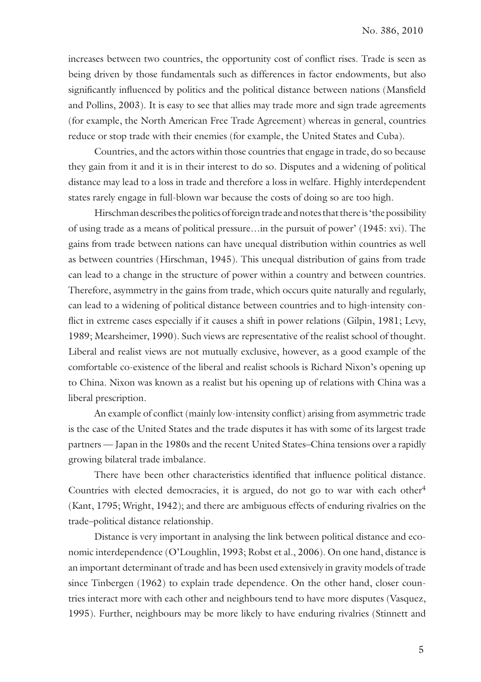increases between two countries, the opportunity cost of conflict rises. Trade is seen as being driven by those fundamentals such as differences in factor endowments, but also significantly influenced by politics and the political distance between nations (Mansfield and Pollins, 2003). It is easy to see that allies may trade more and sign trade agreements (for example, the North American Free Trade Agreement) whereas in general, countries reduce or stop trade with their enemies (for example, the United States and Cuba).

Countries, and the actors within those countries that engage in trade, do so because they gain from it and it is in their interest to do so. Disputes and a widening of political distance may lead to a loss in trade and therefore a loss in welfare. Highly interdependent states rarely engage in full-blown war because the costs of doing so are too high.

Hirschman describes the politics of foreign trade and notes that there is 'the possibility of using trade as a means of political pressure…in the pursuit of power' (1945: xvi). The gains from trade between nations can have unequal distribution within countries as well as between countries (Hirschman, 1945). This unequal distribution of gains from trade can lead to a change in the structure of power within a country and between countries. Therefore, asymmetry in the gains from trade, which occurs quite naturally and regularly, can lead to a widening of political distance between countries and to high-intensity conflict in extreme cases especially if it causes a shift in power relations (Gilpin, 1981; Levy, 1989; Mearsheimer, 1990). Such views are representative of the realist school of thought. Liberal and realist views are not mutually exclusive, however, as a good example of the comfortable co-existence of the liberal and realist schools is Richard Nixon's opening up to China. Nixon was known as a realist but his opening up of relations with China was a liberal prescription.

An example of conflict (mainly low-intensity conflict) arising from asymmetric trade is the case of the United States and the trade disputes it has with some of its largest trade partners — Japan in the 1980s and the recent United States–China tensions over a rapidly growing bilateral trade imbalance.

There have been other characteristics identified that influence political distance. Countries with elected democracies, it is argued, do not go to war with each other<sup>4</sup> (Kant, 1795; Wright, 1942); and there are ambiguous effects of enduring rivalries on the trade–political distance relationship.

Distance is very important in analysing the link between political distance and economic interdependence (O'Loughlin, 1993; Robst et al., 2006). On one hand, distance is an important determinant of trade and has been used extensively in gravity models of trade since Tinbergen (1962) to explain trade dependence. On the other hand, closer countries interact more with each other and neighbours tend to have more disputes (Vasquez, 1995). Further, neighbours may be more likely to have enduring rivalries (Stinnett and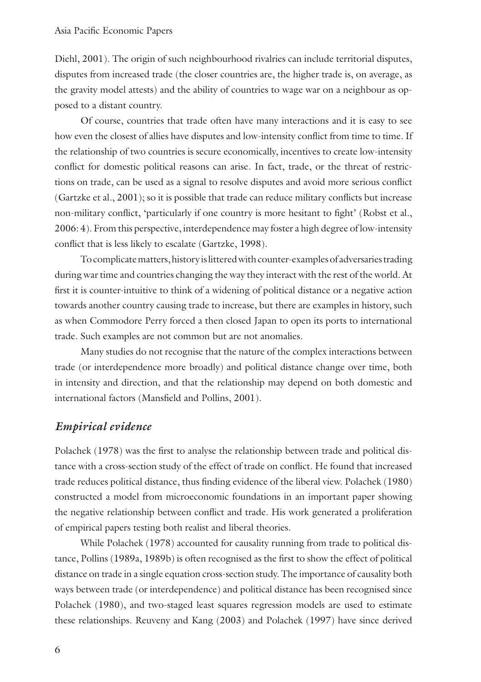Diehl, 2001). The origin of such neighbourhood rivalries can include territorial disputes, disputes from increased trade (the closer countries are, the higher trade is, on average, as the gravity model attests) and the ability of countries to wage war on a neighbour as opposed to a distant country.

Of course, countries that trade often have many interactions and it is easy to see how even the closest of allies have disputes and low-intensity conflict from time to time. If the relationship of two countries is secure economically, incentives to create low-intensity conflict for domestic political reasons can arise. In fact, trade, or the threat of restrictions on trade, can be used as a signal to resolve disputes and avoid more serious conflict (Gartzke et al., 2001); so it is possible that trade can reduce military conflicts but increase non-military conflict, 'particularly if one country is more hesitant to fight' (Robst et al., 2006: 4). From this perspective, interdependence may foster a high degree of low-intensity conflict that is less likely to escalate (Gartzke, 1998).

To complicate matters, history is littered with counter-examples of adversaries trading during war time and countries changing the way they interact with the rest of the world. At first it is counter-intuitive to think of a widening of political distance or a negative action towards another country causing trade to increase, but there are examples in history, such as when Commodore Perry forced a then closed Japan to open its ports to international trade. Such examples are not common but are not anomalies.

Many studies do not recognise that the nature of the complex interactions between trade (or interdependence more broadly) and political distance change over time, both in intensity and direction, and that the relationship may depend on both domestic and international factors (Mansfield and Pollins, 2001).

## *Empirical evidence*

Polachek (1978) was the first to analyse the relationship between trade and political distance with a cross-section study of the effect of trade on conflict. He found that increased trade reduces political distance, thus finding evidence of the liberal view. Polachek (1980) constructed a model from microeconomic foundations in an important paper showing the negative relationship between conflict and trade. His work generated a proliferation of empirical papers testing both realist and liberal theories.

While Polachek (1978) accounted for causality running from trade to political distance, Pollins (1989a, 1989b) is often recognised as the first to show the effect of political distance on trade in a single equation cross-section study. The importance of causality both ways between trade (or interdependence) and political distance has been recognised since Polachek (1980), and two-staged least squares regression models are used to estimate these relationships. Reuveny and Kang (2003) and Polachek (1997) have since derived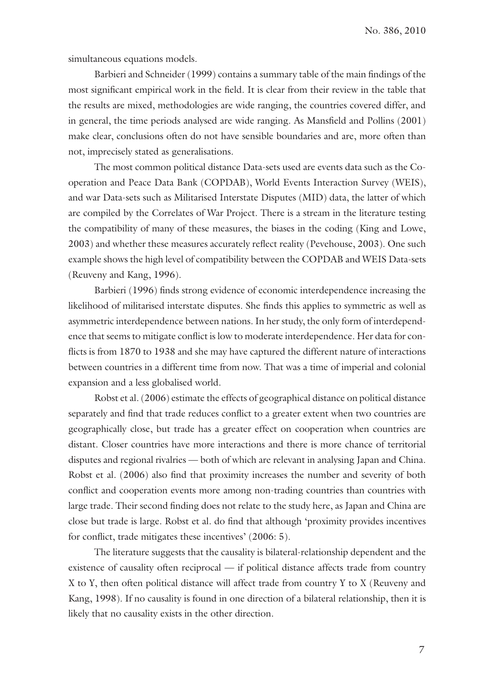simultaneous equations models.

Barbieri and Schneider (1999) contains a summary table of the main findings of the most significant empirical work in the field. It is clear from their review in the table that the results are mixed, methodologies are wide ranging, the countries covered differ, and in general, the time periods analysed are wide ranging. As Mansfield and Pollins (2001) make clear, conclusions often do not have sensible boundaries and are, more often than not, imprecisely stated as generalisations.

The most common political distance Data-sets used are events data such as the Cooperation and Peace Data Bank (COPDAB), World Events Interaction Survey (WEIS), and war Data-sets such as Militarised Interstate Disputes (MID) data, the latter of which are compiled by the Correlates of War Project. There is a stream in the literature testing the compatibility of many of these measures, the biases in the coding (King and Lowe, 2003) and whether these measures accurately reflect reality (Pevehouse, 2003). One such example shows the high level of compatibility between the COPDAB and WEIS Data-sets (Reuveny and Kang, 1996).

Barbieri (1996) finds strong evidence of economic interdependence increasing the likelihood of militarised interstate disputes. She finds this applies to symmetric as well as asymmetric interdependence between nations. In her study, the only form of interdependence that seems to mitigate conflict is low to moderate interdependence. Her data for conflicts is from 1870 to 1938 and she may have captured the different nature of interactions between countries in a different time from now. That was a time of imperial and colonial expansion and a less globalised world.

Robst et al. (2006) estimate the effects of geographical distance on political distance separately and find that trade reduces conflict to a greater extent when two countries are geographically close, but trade has a greater effect on cooperation when countries are distant. Closer countries have more interactions and there is more chance of territorial disputes and regional rivalries — both of which are relevant in analysing Japan and China. Robst et al. (2006) also find that proximity increases the number and severity of both conflict and cooperation events more among non-trading countries than countries with large trade. Their second finding does not relate to the study here, as Japan and China are close but trade is large. Robst et al. do find that although 'proximity provides incentives for conflict, trade mitigates these incentives' (2006: 5).

The literature suggests that the causality is bilateral-relationship dependent and the existence of causality often reciprocal — if political distance affects trade from country X to Y, then often political distance will affect trade from country Y to X (Reuveny and Kang, 1998). If no causality is found in one direction of a bilateral relationship, then it is likely that no causality exists in the other direction.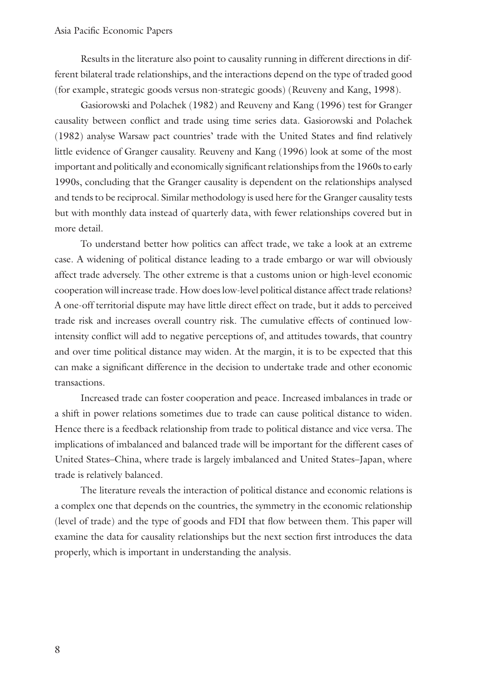Results in the literature also point to causality running in different directions in different bilateral trade relationships, and the interactions depend on the type of traded good (for example, strategic goods versus non-strategic goods) (Reuveny and Kang, 1998).

Gasiorowski and Polachek (1982) and Reuveny and Kang (1996) test for Granger causality between conflict and trade using time series data. Gasiorowski and Polachek (1982) analyse Warsaw pact countries' trade with the United States and find relatively little evidence of Granger causality. Reuveny and Kang (1996) look at some of the most important and politically and economically significant relationships from the 1960s to early 1990s, concluding that the Granger causality is dependent on the relationships analysed and tends to be reciprocal. Similar methodology is used here for the Granger causality tests but with monthly data instead of quarterly data, with fewer relationships covered but in more detail.

To understand better how politics can affect trade, we take a look at an extreme case. A widening of political distance leading to a trade embargo or war will obviously affect trade adversely. The other extreme is that a customs union or high-level economic cooperation will increase trade. How does low-level political distance affect trade relations? A one-off territorial dispute may have little direct effect on trade, but it adds to perceived trade risk and increases overall country risk. The cumulative effects of continued lowintensity conflict will add to negative perceptions of, and attitudes towards, that country and over time political distance may widen. At the margin, it is to be expected that this can make a significant difference in the decision to undertake trade and other economic transactions.

Increased trade can foster cooperation and peace. Increased imbalances in trade or a shift in power relations sometimes due to trade can cause political distance to widen. Hence there is a feedback relationship from trade to political distance and vice versa. The implications of imbalanced and balanced trade will be important for the different cases of United States–China, where trade is largely imbalanced and United States–Japan, where trade is relatively balanced.

The literature reveals the interaction of political distance and economic relations is a complex one that depends on the countries, the symmetry in the economic relationship (level of trade) and the type of goods and FDI that flow between them. This paper will examine the data for causality relationships but the next section first introduces the data properly, which is important in understanding the analysis.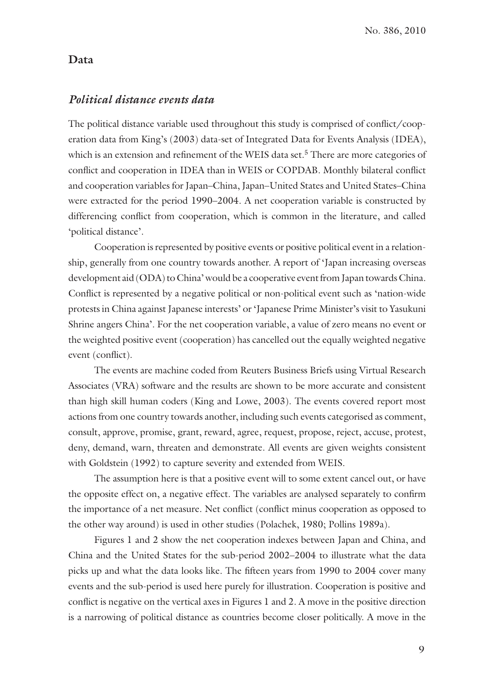#### **Data**

### *Political distance events data*

The political distance variable used throughout this study is comprised of conflict/cooperation data from King's (2003) data-set of Integrated Data for Events Analysis (IDEA), which is an extension and refinement of the WEIS data set.<sup>5</sup> There are more categories of conflict and cooperation in IDEA than in WEIS or COPDAB. Monthly bilateral conflict and cooperation variables for Japan–China, Japan–United States and United States–China were extracted for the period 1990–2004. A net cooperation variable is constructed by differencing conflict from cooperation, which is common in the literature, and called 'political distance'.

Cooperation is represented by positive events or positive political event in a relationship, generally from one country towards another. A report of 'Japan increasing overseas development aid (ODA) to China' would be a cooperative event from Japan towards China. Conflict is represented by a negative political or non-political event such as 'nation-wide protests in China against Japanese interests' or 'Japanese Prime Minister's visit to Yasukuni Shrine angers China'. For the net cooperation variable, a value of zero means no event or the weighted positive event (cooperation) has cancelled out the equally weighted negative event (conflict).

The events are machine coded from Reuters Business Briefs using Virtual Research Associates (VRA) software and the results are shown to be more accurate and consistent than high skill human coders (King and Lowe, 2003). The events covered report most actions from one country towards another, including such events categorised as comment, consult, approve, promise, grant, reward, agree, request, propose, reject, accuse, protest, deny, demand, warn, threaten and demonstrate. All events are given weights consistent with Goldstein (1992) to capture severity and extended from WEIS.

The assumption here is that a positive event will to some extent cancel out, or have the opposite effect on, a negative effect. The variables are analysed separately to confirm the importance of a net measure. Net conflict (conflict minus cooperation as opposed to the other way around) is used in other studies (Polachek, 1980; Pollins 1989a).

Figures 1 and 2 show the net cooperation indexes between Japan and China, and China and the United States for the sub-period 2002–2004 to illustrate what the data picks up and what the data looks like. The fifteen years from 1990 to 2004 cover many events and the sub-period is used here purely for illustration. Cooperation is positive and conflict is negative on the vertical axes in Figures 1 and 2. A move in the positive direction is a narrowing of political distance as countries become closer politically. A move in the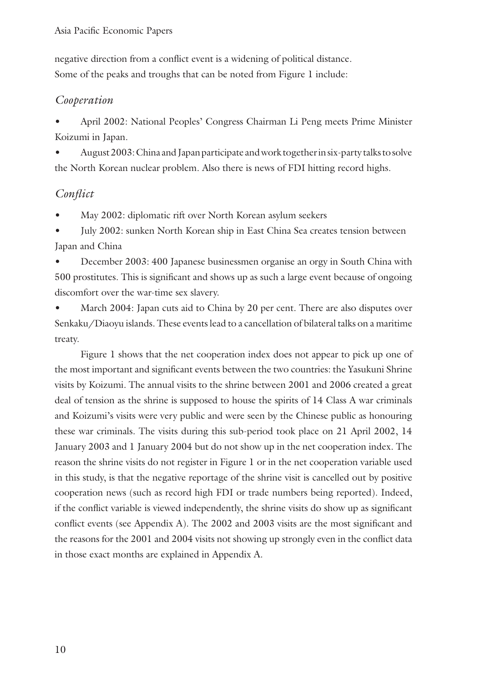negative direction from a conflict event is a widening of political distance. Some of the peaks and troughs that can be noted from Figure 1 include:

## *Cooperation*

• April 2002: National Peoples' Congress Chairman Li Peng meets Prime Minister Koizumi in Japan.

• August 2003: China and Japan participate and work together in six-party talks to solve the North Korean nuclear problem. Also there is news of FDI hitting record highs.

## *Conflict*

• May 2002: diplomatic rift over North Korean asylum seekers

• July 2002: sunken North Korean ship in East China Sea creates tension between Japan and China

• December 2003: 400 Japanese businessmen organise an orgy in South China with 500 prostitutes. This is significant and shows up as such a large event because of ongoing discomfort over the war-time sex slavery.

March 2004: Japan cuts aid to China by 20 per cent. There are also disputes over Senkaku/Diaoyu islands. These events lead to a cancellation of bilateral talks on a maritime treaty.

Figure 1 shows that the net cooperation index does not appear to pick up one of the most important and significant events between the two countries: the Yasukuni Shrine visits by Koizumi. The annual visits to the shrine between 2001 and 2006 created a great deal of tension as the shrine is supposed to house the spirits of 14 Class A war criminals and Koizumi's visits were very public and were seen by the Chinese public as honouring these war criminals. The visits during this sub-period took place on 21 April 2002, 14 January 2003 and 1 January 2004 but do not show up in the net cooperation index. The reason the shrine visits do not register in Figure 1 or in the net cooperation variable used in this study, is that the negative reportage of the shrine visit is cancelled out by positive cooperation news (such as record high FDI or trade numbers being reported). Indeed, if the conflict variable is viewed independently, the shrine visits do show up as significant conflict events (see Appendix A). The 2002 and 2003 visits are the most significant and the reasons for the 2001 and 2004 visits not showing up strongly even in the conflict data in those exact months are explained in Appendix A.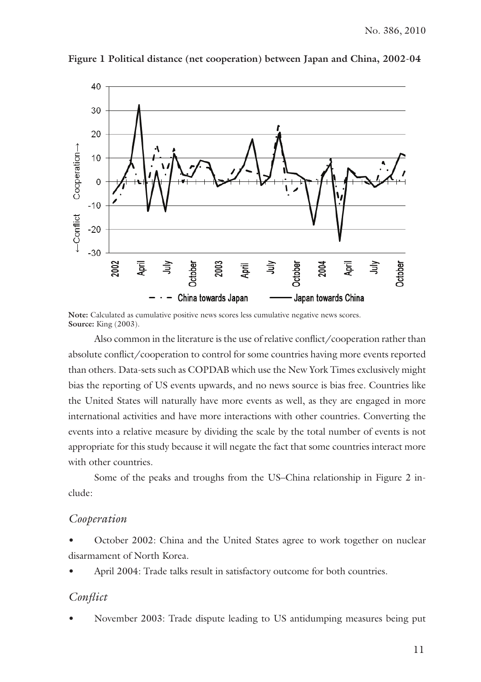

**Figure 1 Political distance (net cooperation) between Japan and China, 2002-04**

Note: Calculated as cumulative positive news scores less cumulative negative news scores. **Source:** King (2003).

Also common in the literature is the use of relative conflict/cooperation rather than absolute conflict/cooperation to control for some countries having more events reported than others. Data-sets such as COPDAB which use the New York Times exclusively might bias the reporting of US events upwards, and no news source is bias free. Countries like the United States will naturally have more events as well, as they are engaged in more international activities and have more interactions with other countries. Converting the events into a relative measure by dividing the scale by the total number of events is not appropriate for this study because it will negate the fact that some countries interact more with other countries.

Some of the peaks and troughs from the US–China relationship in Figure 2 include:

#### *Cooperation*

• October 2002: China and the United States agree to work together on nuclear disarmament of North Korea.

April 2004: Trade talks result in satisfactory outcome for both countries.

#### *Conflict*

• November 2003: Trade dispute leading to US antidumping measures being put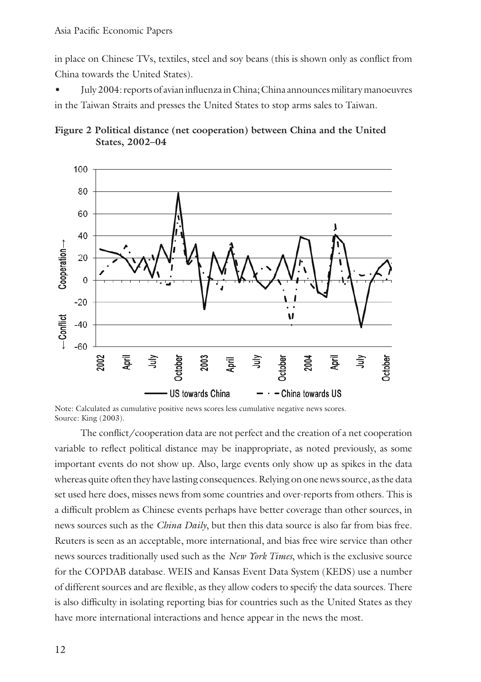in place on Chinese TVs, textiles, steel and soy beans (this is shown only as conflict from China towards the United States).

• July 2004: reports of avian influenza in China; China announces military manoeuvres in the Taiwan Straits and presses the United States to stop arms sales to Taiwan.





Note: Calculated as cumulative positive news scores less cumulative negative news scores. Source: King (2003).

The conflict/cooperation data are not perfect and the creation of a net cooperation variable to reflect political distance may be inappropriate, as noted previously, as some important events do not show up. Also, large events only show up as spikes in the data whereas quite often they have lasting consequences. Relying on one news source, as the data set used here does, misses news from some countries and over-reports from others. This is a difficult problem as Chinese events perhaps have better coverage than other sources, in news sources such as the *China Daily*, but then this data source is also far from bias free. Reuters is seen as an acceptable, more international, and bias free wire service than other news sources traditionally used such as the *New York Times*, which is the exclusive source for the COPDAB database. WEIS and Kansas Event Data System (KEDS) use a number of different sources and are flexible, as they allow coders to specify the data sources. There is also difficulty in isolating reporting bias for countries such as the United States as they have more international interactions and hence appear in the news the most.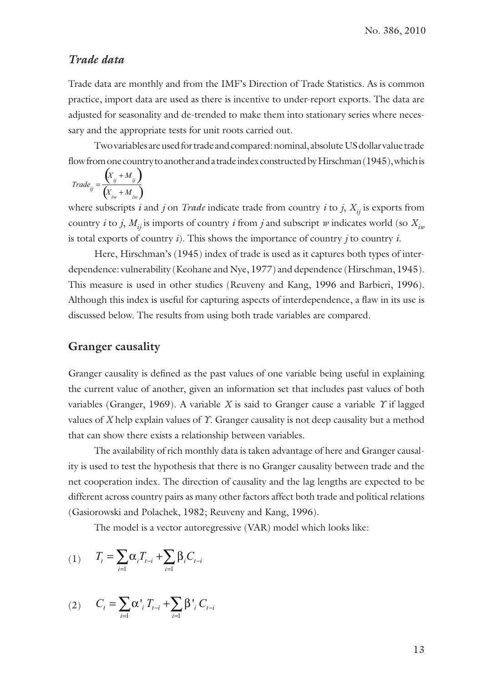## *Trade data*

Trade data are monthly and from the IMF's Direction of Trade Statistics. As is common practice, import data are used as there is incentive to under-report exports. The data are adjusted for seasonality and de-trended to make them into stationary series where necessary and the appropriate tests for unit roots carried out.

Two variables are used for trade and compared: nominal, absolute US dollar value trade flow from one country to another and a trade index constructed by Hirschman (1945), which is

$$
Trade_{ij} = \frac{\left(X_{ij} + M_{ij}\right)}{\left(X_{iw} + M_{iw}\right)}
$$

where subscripts *i* and *j* on *Trade* indicate trade from country *i* to *j*,  $X_{ii}$  is exports from country *i* to *j*,  $M_{ii}$  is imports of country *i* from *j* and subscript *w* indicates world (so  $X_{iw}$ ) is total exports of country *i*). This shows the importance of country *j* to country *i*.

Here, Hirschman's (1945) index of trade is used as it captures both types of interdependence: vulnerability (Keohane and Nye, 1977) and dependence (Hirschman, 1945). This measure is used in other studies (Reuveny and Kang, 1996 and Barbieri, 1996). Although this index is useful for capturing aspects of interdependence, a flaw in its use is discussed below. The results from using both trade variables are compared.

## **Granger causality**

Granger causality is defined as the past values of one variable being useful in explaining the current value of another, given an information set that includes past values of both variables (Granger, 1969). A variable *X* is said to Granger cause a variable *Y* if lagged values of *X* help explain values of *Y*. Granger causality is not deep causality but a method that can show there exists a relationship between variables.

The availability of rich monthly data is taken advantage of here and Granger causality is used to test the hypothesis that there is no Granger causality between trade and the net cooperation index. The direction of causality and the lag lengths are expected to be different across country pairs as many other factors affect both trade and political relations (Gasiorowski and Polachek, 1982; Reuveny and Kang, 1996).

The model is a vector autoregressive (VAR) model which looks like:

(1) 
$$
T_{t} = \sum_{i=1}^{t} \alpha_{i} T_{t-i} + \sum_{i=1}^{t} \beta_{i} C_{t-i}
$$

(2) 
$$
C_{t} = \sum_{i=1}^{t} \alpha_{i}^{t} T_{t-i} + \sum_{i=1}^{t} \beta_{i}^{t} C_{t-i}
$$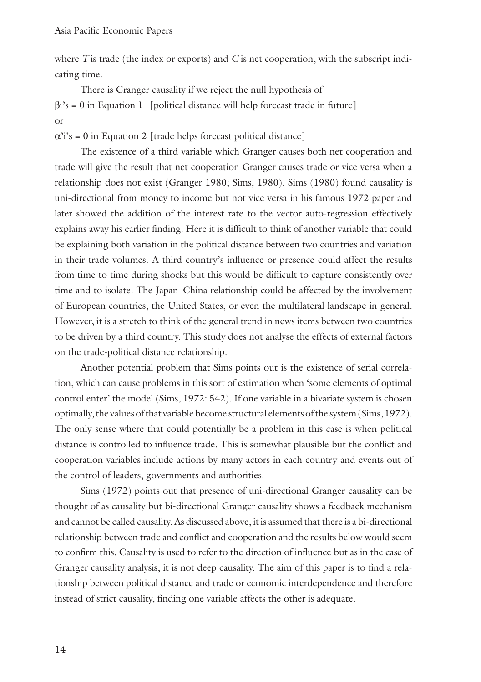where *T* is trade (the index or exports) and *C* is net cooperation, with the subscript indicating time.

There is Granger causality if we reject the null hypothesis of  $\beta$ i's = 0 in Equation 1 [political distance will help forecast trade in future] or

 $\alpha$ 'i's = 0 in Equation 2 [trade helps forecast political distance]

The existence of a third variable which Granger causes both net cooperation and trade will give the result that net cooperation Granger causes trade or vice versa when a relationship does not exist (Granger 1980; Sims, 1980). Sims (1980) found causality is uni-directional from money to income but not vice versa in his famous 1972 paper and later showed the addition of the interest rate to the vector auto-regression effectively explains away his earlier finding. Here it is difficult to think of another variable that could be explaining both variation in the political distance between two countries and variation in their trade volumes. A third country's influence or presence could affect the results from time to time during shocks but this would be difficult to capture consistently over time and to isolate. The Japan–China relationship could be affected by the involvement of European countries, the United States, or even the multilateral landscape in general. However, it is a stretch to think of the general trend in news items between two countries to be driven by a third country. This study does not analyse the effects of external factors on the trade-political distance relationship.

Another potential problem that Sims points out is the existence of serial correlation, which can cause problems in this sort of estimation when 'some elements of optimal control enter' the model (Sims, 1972: 542). If one variable in a bivariate system is chosen optimally, the values of that variable become structural elements of the system (Sims, 1972). The only sense where that could potentially be a problem in this case is when political distance is controlled to influence trade. This is somewhat plausible but the conflict and cooperation variables include actions by many actors in each country and events out of the control of leaders, governments and authorities.

Sims (1972) points out that presence of uni-directional Granger causality can be thought of as causality but bi-directional Granger causality shows a feedback mechanism and cannot be called causality. As discussed above, it is assumed that there is a bi-directional relationship between trade and conflict and cooperation and the results below would seem to confirm this. Causality is used to refer to the direction of influence but as in the case of Granger causality analysis, it is not deep causality. The aim of this paper is to find a relationship between political distance and trade or economic interdependence and therefore instead of strict causality, finding one variable affects the other is adequate.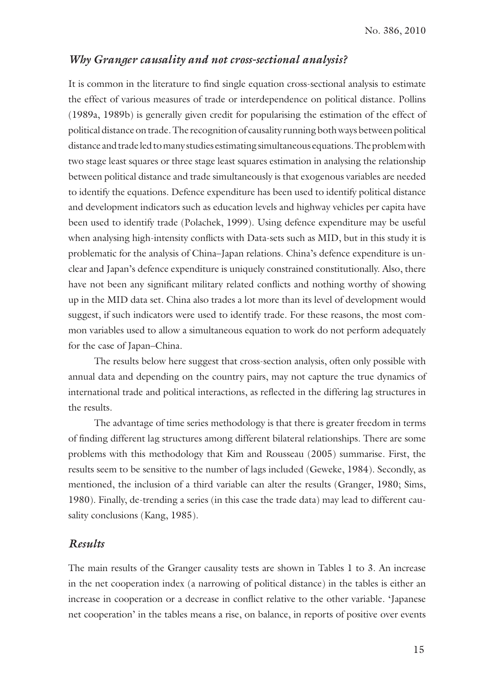#### *Why Granger causality and not cross-sectional analysis?*

It is common in the literature to find single equation cross-sectional analysis to estimate the effect of various measures of trade or interdependence on political distance. Pollins (1989a, 1989b) is generally given credit for popularising the estimation of the effect of political distance on trade. The recognition of causality running both ways between political distance and trade led to many studies estimating simultaneous equations. The problem with two stage least squares or three stage least squares estimation in analysing the relationship between political distance and trade simultaneously is that exogenous variables are needed to identify the equations. Defence expenditure has been used to identify political distance and development indicators such as education levels and highway vehicles per capita have been used to identify trade (Polachek, 1999). Using defence expenditure may be useful when analysing high-intensity conflicts with Data-sets such as MID, but in this study it is problematic for the analysis of China–Japan relations. China's defence expenditure is unclear and Japan's defence expenditure is uniquely constrained constitutionally. Also, there have not been any significant military related conflicts and nothing worthy of showing up in the MID data set. China also trades a lot more than its level of development would suggest, if such indicators were used to identify trade. For these reasons, the most common variables used to allow a simultaneous equation to work do not perform adequately for the case of Japan–China.

The results below here suggest that cross-section analysis, often only possible with annual data and depending on the country pairs, may not capture the true dynamics of international trade and political interactions, as reflected in the differing lag structures in the results.

The advantage of time series methodology is that there is greater freedom in terms of finding different lag structures among different bilateral relationships. There are some problems with this methodology that Kim and Rousseau (2005) summarise. First, the results seem to be sensitive to the number of lags included (Geweke, 1984). Secondly, as mentioned, the inclusion of a third variable can alter the results (Granger, 1980; Sims, 1980). Finally, de-trending a series (in this case the trade data) may lead to different causality conclusions (Kang, 1985).

### *Results*

The main results of the Granger causality tests are shown in Tables 1 to 3. An increase in the net cooperation index (a narrowing of political distance) in the tables is either an increase in cooperation or a decrease in conflict relative to the other variable. 'Japanese net cooperation' in the tables means a rise, on balance, in reports of positive over events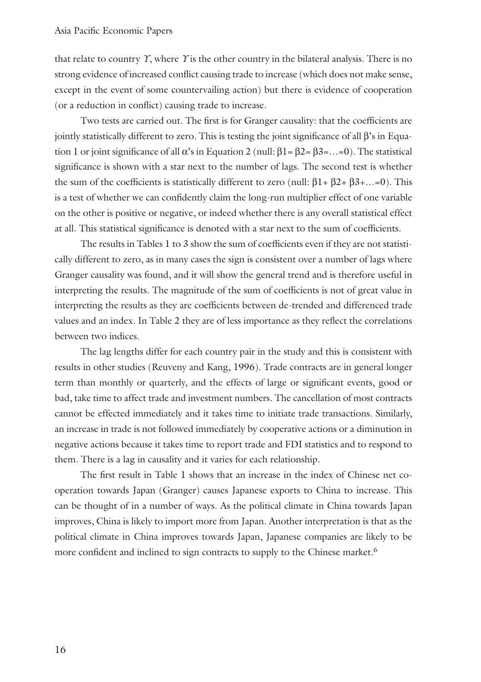that relate to country *Y*, where *Y* is the other country in the bilateral analysis. There is no strong evidence of increased conflict causing trade to increase (which does not make sense, except in the event of some countervailing action) but there is evidence of cooperation (or a reduction in conflict) causing trade to increase.

Two tests are carried out. The first is for Granger causality: that the coefficients are jointly statistically different to zero. This is testing the joint significance of all β's in Equation 1 or joint significance of all  $\alpha$ 's in Equation 2 (null:  $\beta$ 1=  $\beta$ 2=  $\beta$ 3=...=0). The statistical significance is shown with a star next to the number of lags. The second test is whether the sum of the coefficients is statistically different to zero (null:  $β1 + β2 + β3 + ... = 0$ ). This is a test of whether we can confidently claim the long-run multiplier effect of one variable on the other is positive or negative, or indeed whether there is any overall statistical effect at all. This statistical significance is denoted with a star next to the sum of coefficients.

The results in Tables 1 to 3 show the sum of coefficients even if they are not statistically different to zero, as in many cases the sign is consistent over a number of lags where Granger causality was found, and it will show the general trend and is therefore useful in interpreting the results. The magnitude of the sum of coefficients is not of great value in interpreting the results as they are coefficients between de-trended and differenced trade values and an index. In Table 2 they are of less importance as they reflect the correlations between two indices.

The lag lengths differ for each country pair in the study and this is consistent with results in other studies (Reuveny and Kang, 1996). Trade contracts are in general longer term than monthly or quarterly, and the effects of large or significant events, good or bad, take time to affect trade and investment numbers. The cancellation of most contracts cannot be effected immediately and it takes time to initiate trade transactions. Similarly, an increase in trade is not followed immediately by cooperative actions or a diminution in negative actions because it takes time to report trade and FDI statistics and to respond to them. There is a lag in causality and it varies for each relationship.

The first result in Table 1 shows that an increase in the index of Chinese net cooperation towards Japan (Granger) causes Japanese exports to China to increase. This can be thought of in a number of ways. As the political climate in China towards Japan improves, China is likely to import more from Japan. Another interpretation is that as the political climate in China improves towards Japan, Japanese companies are likely to be more confident and inclined to sign contracts to supply to the Chinese market.<sup>6</sup>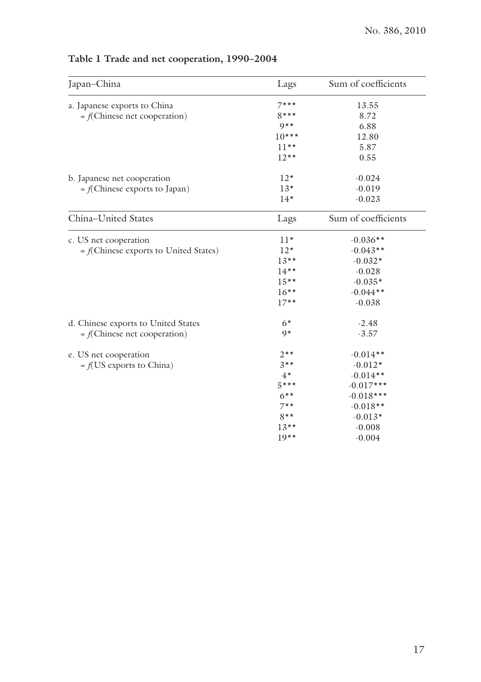| Japan-China                                | Lags    | Sum of coefficients |  |  |
|--------------------------------------------|---------|---------------------|--|--|
| a. Japanese exports to China               | $7***$  | 13.55               |  |  |
| $=$ $f$ (Chinese net cooperation)          | $8***$  | 8.72                |  |  |
|                                            | $9**$   | 6.88                |  |  |
|                                            | $10***$ | 12.80               |  |  |
|                                            | $11***$ | 5.87                |  |  |
|                                            | $12**$  | 0.55                |  |  |
| b. Japanese net cooperation                | $12*$   | $-0.024$            |  |  |
| $=$ $f$ (Chinese exports to Japan)         | $13*$   | $-0.019$            |  |  |
|                                            | $14*$   | $-0.023$            |  |  |
| China-United States                        | Lags    | Sum of coefficients |  |  |
| c. US net cooperation                      | $11*$   | $-0.036**$          |  |  |
| $=$ $f$ (Chinese exports to United States) | $12*$   | $-0.043**$          |  |  |
|                                            | $13***$ | $-0.032*$           |  |  |
|                                            | $14***$ | $-0.028$            |  |  |
|                                            | $15***$ | $-0.035*$           |  |  |
|                                            | $16***$ | $-0.044**$          |  |  |
|                                            | $17**$  | $-0.038$            |  |  |
| d. Chinese exports to United States        | $6*$    | $-2.48$             |  |  |
| $=$ $f$ (Chinese net cooperation)          | $9*$    | $-3.57$             |  |  |
| e. US net cooperation                      | $2**$   | $-0.014**$          |  |  |
| $=$ f(US exports to China)                 | $3***$  | $-0.012*$           |  |  |
|                                            | $4*$    | $-0.014**$          |  |  |
|                                            | $5***$  | $-0.017***$         |  |  |
|                                            | $6***$  | $-0.018***$         |  |  |
|                                            | $7***$  | $-0.018**$          |  |  |
|                                            | $8**$   | $-0.013*$           |  |  |
|                                            | $13***$ | $-0.008$            |  |  |
|                                            | $19***$ | $-0.004$            |  |  |

## **Table 1 Trade and net cooperation, 1990–2004**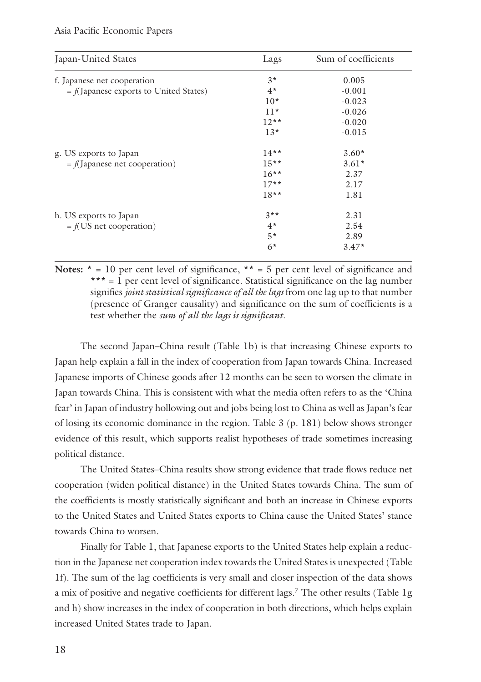| Asia Pacific Economic Papers |  |
|------------------------------|--|
|------------------------------|--|

| Japan-United States                            | Lags    | Sum of coefficients |
|------------------------------------------------|---------|---------------------|
| f. Japanese net cooperation                    | $3*$    | 0.005               |
| $=$ $\beta$ Japanese exports to United States) | $4*$    | $-0.001$            |
|                                                | $10*$   | $-0.023$            |
|                                                | $11*$   | $-0.026$            |
|                                                | $12**$  | $-0.020$            |
|                                                | $13*$   | $-0.015$            |
| g. US exports to Japan                         | $14**$  | $3.60*$             |
| $=$ f(Japanese net cooperation)                | $15**$  | $3.61*$             |
|                                                | $16***$ | 2.37                |
|                                                | $17**$  | 2.17                |
|                                                | $18**$  | 1.81                |
| h. US exports to Japan                         | $3***$  | 2.31                |
| $=$ f(US net cooperation)                      | $4*$    | 2.54                |
|                                                | $5*$    | 2.89                |
|                                                | $6*$    | $3.47*$             |

**Notes:**  $* = 10$  per cent level of significance,  $* = 5$  per cent level of significance and \*\*\*  $= 1$  per cent level of significance. Statistical significance on the lag number signifies *joint statistical significance of all the lags* from one lag up to that number (presence of Granger causality) and significance on the sum of coefficients is a test whether the *sum of all the lags is significant*.

The second Japan–China result (Table 1b) is that increasing Chinese exports to Japan help explain a fall in the index of cooperation from Japan towards China. Increased Japanese imports of Chinese goods after 12 months can be seen to worsen the climate in Japan towards China. This is consistent with what the media often refers to as the 'China fear' in Japan of industry hollowing out and jobs being lost to China as well as Japan's fear of losing its economic dominance in the region. Table 3 (p. 181) below shows stronger evidence of this result, which supports realist hypotheses of trade sometimes increasing political distance.

The United States–China results show strong evidence that trade flows reduce net cooperation (widen political distance) in the United States towards China. The sum of the coefficients is mostly statistically significant and both an increase in Chinese exports to the United States and United States exports to China cause the United States' stance towards China to worsen.

Finally for Table 1, that Japanese exports to the United States help explain a reduction in the Japanese net cooperation index towards the United States is unexpected (Table 1f). The sum of the lag coefficients is very small and closer inspection of the data shows a mix of positive and negative coefficients for different lags.7 The other results (Table 1g and h) show increases in the index of cooperation in both directions, which helps explain increased United States trade to Japan.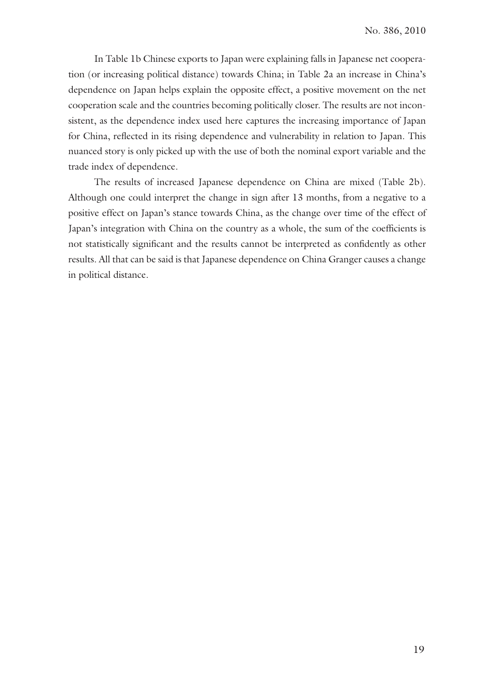In Table 1b Chinese exports to Japan were explaining falls in Japanese net cooperation (or increasing political distance) towards China; in Table 2a an increase in China's dependence on Japan helps explain the opposite effect, a positive movement on the net cooperation scale and the countries becoming politically closer. The results are not inconsistent, as the dependence index used here captures the increasing importance of Japan for China, reflected in its rising dependence and vulnerability in relation to Japan. This nuanced story is only picked up with the use of both the nominal export variable and the trade index of dependence.

The results of increased Japanese dependence on China are mixed (Table 2b). Although one could interpret the change in sign after 13 months, from a negative to a positive effect on Japan's stance towards China, as the change over time of the effect of Japan's integration with China on the country as a whole, the sum of the coefficients is not statistically significant and the results cannot be interpreted as confidently as other results. All that can be said is that Japanese dependence on China Granger causes a change in political distance.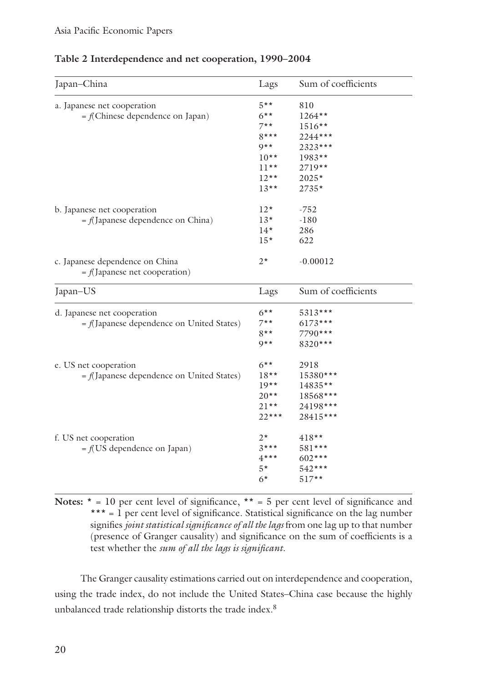| Japan-China                                                        | Lags    | Sum of coefficients |
|--------------------------------------------------------------------|---------|---------------------|
| a. Japanese net cooperation                                        | $5***$  | 810                 |
| $=$ $f$ (Chinese dependence on Japan)                              | 6**     | $1264**$            |
|                                                                    | $7***$  | $1516**$            |
|                                                                    | $8***$  | $2244***$           |
|                                                                    | $9**$   | 2323***             |
|                                                                    | $10**$  | $1983**$            |
|                                                                    | $11***$ | $2719**$            |
|                                                                    | $12**$  | $2025*$             |
|                                                                    | $13**$  | 2735*               |
| b. Japanese net cooperation                                        | $12*$   | $-752$              |
| $=$ $f$ (Japanese dependence on China)                             | $13*$   | $-180$              |
|                                                                    | $14*$   | 286                 |
|                                                                    | $15*$   | 622                 |
| c. Japanese dependence on China<br>$=$ f(Japanese net cooperation) | $2*$    | $-0.00012$          |
| Japan-US                                                           | Lags    | Sum of coefficients |
| d. Japanese net cooperation                                        | $6***$  | $5313***$           |
| $=$ $f$ [Japanese dependence on United States]                     | $7***$  | $6173***$           |
|                                                                    | $8***$  | $7790***$           |
|                                                                    | $9**$   | $8320***$           |
| e. US net cooperation                                              | $6***$  | 2918                |
| $=$ $f$ [Japanese dependence on United States]                     | $18***$ | 15380***            |
|                                                                    | $19**$  | 14835**             |
|                                                                    | $20**$  | 18568***            |
|                                                                    | $21**$  | 24198***            |
|                                                                    | $22***$ | 28415***            |
| f. US net cooperation                                              | $2*$    | $418**$             |
| $=$ $f(US$ dependence on Japan)                                    | $3***$  | 581***              |
|                                                                    | $4***$  | $602***$            |
|                                                                    | $5*$    | $542***$            |
|                                                                    | 6*      | $517**$             |
|                                                                    |         |                     |

#### **Table 2 Interdependence and net cooperation, 1990–2004**

Notes:  $* = 10$  per cent level of significance,  $** = 5$  per cent level of significance and \*\*\*  $=$  1 per cent level of significance. Statistical significance on the lag number signifies *joint statistical significance of all the lags* from one lag up to that number (presence of Granger causality) and significance on the sum of coefficients is a test whether the *sum of all the lags is significant*.

The Granger causality estimations carried out on interdependence and cooperation, using the trade index, do not include the United States–China case because the highly unbalanced trade relationship distorts the trade index.8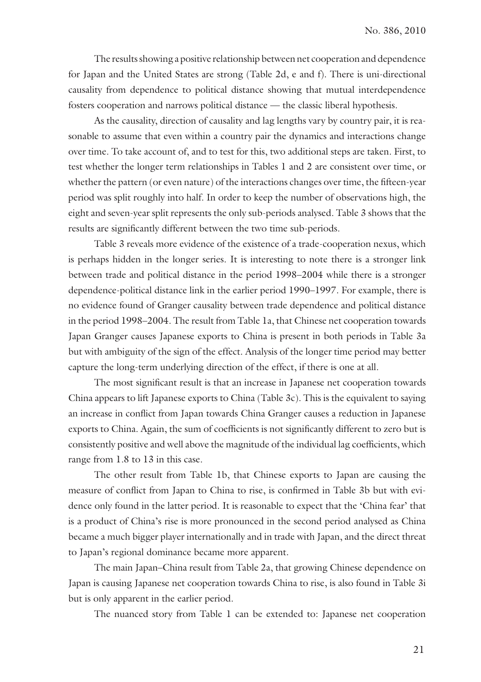The results showing a positive relationship between net cooperation and dependence for Japan and the United States are strong (Table 2d, e and f). There is uni-directional causality from dependence to political distance showing that mutual interdependence fosters cooperation and narrows political distance — the classic liberal hypothesis.

As the causality, direction of causality and lag lengths vary by country pair, it is reasonable to assume that even within a country pair the dynamics and interactions change over time. To take account of, and to test for this, two additional steps are taken. First, to test whether the longer term relationships in Tables 1 and 2 are consistent over time, or whether the pattern (or even nature) of the interactions changes over time, the fifteen-year period was split roughly into half. In order to keep the number of observations high, the eight and seven-year split represents the only sub-periods analysed. Table 3 shows that the results are significantly different between the two time sub-periods.

Table 3 reveals more evidence of the existence of a trade-cooperation nexus, which is perhaps hidden in the longer series. It is interesting to note there is a stronger link between trade and political distance in the period 1998–2004 while there is a stronger dependence-political distance link in the earlier period 1990–1997. For example, there is no evidence found of Granger causality between trade dependence and political distance in the period 1998–2004. The result from Table 1a, that Chinese net cooperation towards Japan Granger causes Japanese exports to China is present in both periods in Table 3a but with ambiguity of the sign of the effect. Analysis of the longer time period may better capture the long-term underlying direction of the effect, if there is one at all.

The most significant result is that an increase in Japanese net cooperation towards China appears to lift Japanese exports to China (Table 3c). This is the equivalent to saying an increase in conflict from Japan towards China Granger causes a reduction in Japanese exports to China. Again, the sum of coefficients is not significantly different to zero but is consistently positive and well above the magnitude of the individual lag coefficients, which range from 1.8 to 13 in this case.

The other result from Table 1b, that Chinese exports to Japan are causing the measure of conflict from Japan to China to rise, is confirmed in Table 3b but with evidence only found in the latter period. It is reasonable to expect that the 'China fear' that is a product of China's rise is more pronounced in the second period analysed as China became a much bigger player internationally and in trade with Japan, and the direct threat to Japan's regional dominance became more apparent.

The main Japan–China result from Table 2a, that growing Chinese dependence on Japan is causing Japanese net cooperation towards China to rise, is also found in Table 3i but is only apparent in the earlier period.

The nuanced story from Table 1 can be extended to: Japanese net cooperation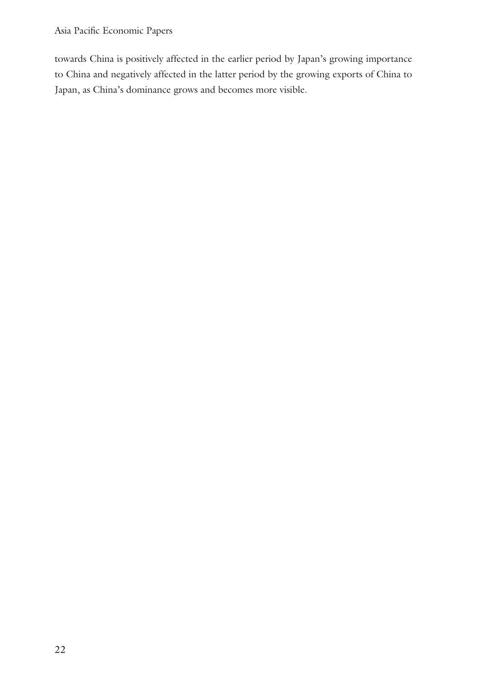towards China is positively affected in the earlier period by Japan's growing importance to China and negatively affected in the latter period by the growing exports of China to Japan, as China's dominance grows and becomes more visible.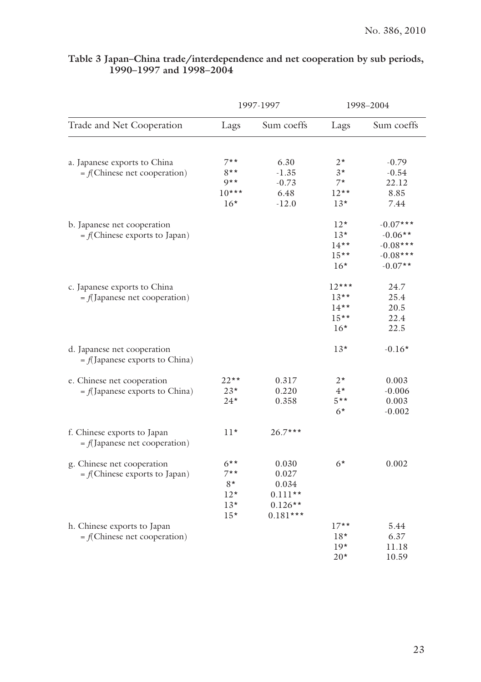|                                                                    |         | 1997-1997  | 1998-2004 |            |  |
|--------------------------------------------------------------------|---------|------------|-----------|------------|--|
| Trade and Net Cooperation                                          | Lags    | Sum coeffs | Lags      | Sum coeffs |  |
| a. Japanese exports to China                                       | $7***$  | 6.30       | $2^*$     | $-0.79$    |  |
| $=$ $f$ (Chinese net cooperation)                                  | $8**$   | $-1.35$    | $3*$      | $-0.54$    |  |
|                                                                    | 9**     | $-0.73$    | $7*$      | 22.12      |  |
|                                                                    | $10***$ | 6.48       | $12**$    | 8.85       |  |
|                                                                    | $16*$   | $-12.0$    | $13*$     | 7.44       |  |
| b. Japanese net cooperation                                        |         |            | $12*$     | $-0.07***$ |  |
| $=$ $f$ (Chinese exports to Japan)                                 |         |            | $13*$     | $-0.06**$  |  |
|                                                                    |         |            | $14***$   | $-0.08***$ |  |
|                                                                    |         |            | $15***$   | $-0.08***$ |  |
|                                                                    |         |            | $16*$     | $-0.07**$  |  |
| c. Japanese exports to China                                       |         |            | $12***$   | 24.7       |  |
| $=$ f(Japanese net cooperation)                                    |         |            | $13***$   | 25.4       |  |
|                                                                    |         |            | $14***$   | 20.5       |  |
|                                                                    |         |            | $15***$   | 22.4       |  |
|                                                                    |         |            | $16*$     | 22.5       |  |
| d. Japanese net cooperation<br>$=$ $f$ [Japanese exports to China] |         |            | $13*$     | $-0.16*$   |  |
| e. Chinese net cooperation                                         | $22**$  | 0.317      | $2^*$     | 0.003      |  |
| $=$ $f$ [Japanese exports to China]                                | $23*$   | 0.220      | $4*$      | $-0.006$   |  |
|                                                                    | $24*$   | 0.358      | $5***$    | 0.003      |  |
|                                                                    |         |            | $6*$      | $-0.002$   |  |
| f. Chinese exports to Japan<br>$=$ $f$ [Japanese net cooperation]  | $11*$   | $26.7***$  |           |            |  |
| g. Chinese net cooperation                                         | $6***$  | 0.030      | $6*$      | 0.002      |  |
| $=$ $f$ (Chinese exports to Japan)                                 | $7**$   | 0.027      |           |            |  |
|                                                                    | $8*$    | 0.034      |           |            |  |
|                                                                    | $12*$   | $0.111**$  |           |            |  |
|                                                                    | $13*$   | $0.126**$  |           |            |  |
|                                                                    | $15*$   | $0.181***$ |           |            |  |
| h. Chinese exports to Japan                                        |         |            | $17**$    | 5.44       |  |
| $=$ $f$ (Chinese net cooperation)                                  |         |            | $18*$     | 6.37       |  |
|                                                                    |         |            | $19*$     | 11.18      |  |
|                                                                    |         |            | $20*$     | 10.59      |  |

## **Table 3 Japan–China trade/interdependence and net cooperation by sub periods, 1990–1997 and 1998–2004**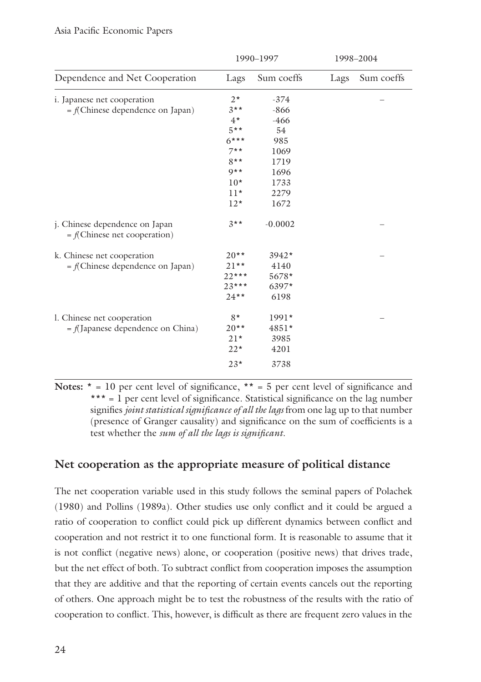|                                                                  |         | 1990-1997  | 1998-2004 |            |  |
|------------------------------------------------------------------|---------|------------|-----------|------------|--|
| Dependence and Net Cooperation                                   | Lags    | Sum coeffs | Lags      | Sum coeffs |  |
| i. Japanese net cooperation                                      | $2^*$   | $-374$     |           |            |  |
| $=$ $f$ (Chinese dependence on Japan)                            | $3***$  | $-866$     |           |            |  |
|                                                                  | $4*$    | $-466$     |           |            |  |
|                                                                  | $5***$  | 54         |           |            |  |
|                                                                  | $6***$  | 985        |           |            |  |
|                                                                  | $7**$   | 1069       |           |            |  |
|                                                                  | $8**$   | 1719       |           |            |  |
|                                                                  | $9**$   | 1696       |           |            |  |
|                                                                  | $10*$   | 1733       |           |            |  |
|                                                                  | $11*$   | 2279       |           |            |  |
|                                                                  | $12*$   | 1672       |           |            |  |
| j. Chinese dependence on Japan<br>$=$ f(Chinese net cooperation) | $3***$  | $-0.0002$  |           |            |  |
| k. Chinese net cooperation                                       | $20**$  | $3942*$    |           |            |  |
| $=$ $f$ (Chinese dependence on Japan)                            | $21**$  | 4140       |           |            |  |
|                                                                  | $22***$ | 5678*      |           |            |  |
|                                                                  | $23***$ | 6397*      |           |            |  |
|                                                                  | $24***$ | 6198       |           |            |  |
| l. Chinese net cooperation                                       | $8*$    | $1991*$    |           |            |  |
| $=$ $f$ [Japanese dependence on China]                           | $20**$  | 4851*      |           |            |  |
|                                                                  | $21*$   | 3985       |           |            |  |
|                                                                  | $22*$   | 4201       |           |            |  |
|                                                                  | $23*$   | 3738       |           |            |  |
|                                                                  |         |            |           |            |  |

Asia Pacific Economic Papers

**Notes:**  $* = 10$  per cent level of significance,  $* = 5$  per cent level of significance and \*\*\* = 1 per cent level of significance. Statistical significance on the lag number signifies *joint statistical significance of all the lags* from one lag up to that number (presence of Granger causality) and significance on the sum of coefficients is a test whether the *sum of all the lags is significant*.

## **Net cooperation as the appropriate measure of political distance**

The net cooperation variable used in this study follows the seminal papers of Polachek (1980) and Pollins (1989a). Other studies use only conflict and it could be argued a ratio of cooperation to conflict could pick up different dynamics between conflict and cooperation and not restrict it to one functional form. It is reasonable to assume that it is not conflict (negative news) alone, or cooperation (positive news) that drives trade, but the net effect of both. To subtract conflict from cooperation imposes the assumption that they are additive and that the reporting of certain events cancels out the reporting of others. One approach might be to test the robustness of the results with the ratio of cooperation to conflict. This, however, is difficult as there are frequent zero values in the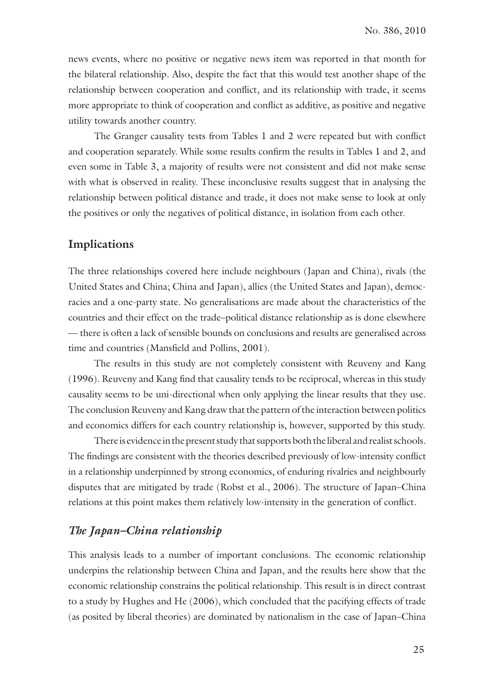news events, where no positive or negative news item was reported in that month for the bilateral relationship. Also, despite the fact that this would test another shape of the relationship between cooperation and conflict, and its relationship with trade, it seems more appropriate to think of cooperation and conflict as additive, as positive and negative utility towards another country.

The Granger causality tests from Tables 1 and 2 were repeated but with conflict and cooperation separately. While some results confirm the results in Tables 1 and 2, and even some in Table 3, a majority of results were not consistent and did not make sense with what is observed in reality. These inconclusive results suggest that in analysing the relationship between political distance and trade, it does not make sense to look at only the positives or only the negatives of political distance, in isolation from each other.

## **Implications**

The three relationships covered here include neighbours (Japan and China), rivals (the United States and China; China and Japan), allies (the United States and Japan), democracies and a one-party state. No generalisations are made about the characteristics of the countries and their effect on the trade–political distance relationship as is done elsewhere — there is often a lack of sensible bounds on conclusions and results are generalised across time and countries (Mansfield and Pollins, 2001).

The results in this study are not completely consistent with Reuveny and Kang (1996). Reuveny and Kang find that causality tends to be reciprocal, whereas in this study causality seems to be uni-directional when only applying the linear results that they use. The conclusion Reuveny and Kang draw that the pattern of the interaction between politics and economics differs for each country relationship is, however, supported by this study.

There is evidence in the present study that supports both the liberal and realist schools. The findings are consistent with the theories described previously of low-intensity conflict in a relationship underpinned by strong economics, of enduring rivalries and neighbourly disputes that are mitigated by trade (Robst et al., 2006). The structure of Japan–China relations at this point makes them relatively low-intensity in the generation of conflict.

#### *The Japan–China relationship*

This analysis leads to a number of important conclusions. The economic relationship underpins the relationship between China and Japan, and the results here show that the economic relationship constrains the political relationship. This result is in direct contrast to a study by Hughes and He (2006), which concluded that the pacifying effects of trade (as posited by liberal theories) are dominated by nationalism in the case of Japan–China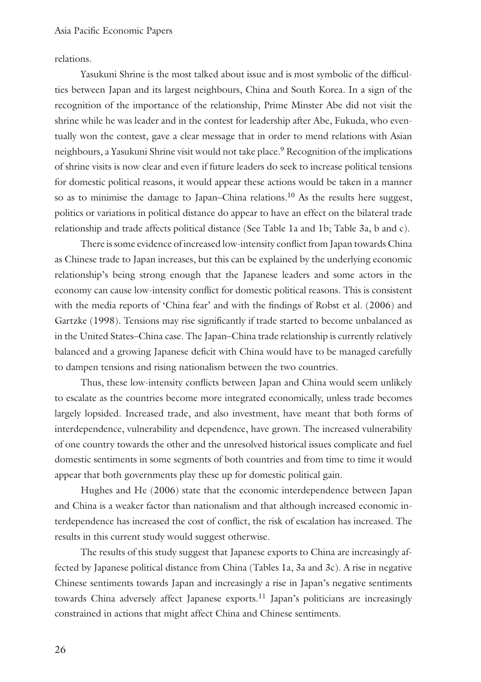relations.

Yasukuni Shrine is the most talked about issue and is most symbolic of the difficulties between Japan and its largest neighbours, China and South Korea. In a sign of the recognition of the importance of the relationship, Prime Minster Abe did not visit the shrine while he was leader and in the contest for leadership after Abe, Fukuda, who eventually won the contest, gave a clear message that in order to mend relations with Asian neighbours, a Yasukuni Shrine visit would not take place.9 Recognition of the implications of shrine visits is now clear and even if future leaders do seek to increase political tensions for domestic political reasons, it would appear these actions would be taken in a manner so as to minimise the damage to Japan–China relations.<sup>10</sup> As the results here suggest, politics or variations in political distance do appear to have an effect on the bilateral trade relationship and trade affects political distance (See Table 1a and 1b; Table 3a, b and c).

There is some evidence of increased low-intensity conflict from Japan towards China as Chinese trade to Japan increases, but this can be explained by the underlying economic relationship's being strong enough that the Japanese leaders and some actors in the economy can cause low-intensity conflict for domestic political reasons. This is consistent with the media reports of 'China fear' and with the findings of Robst et al. (2006) and Gartzke (1998). Tensions may rise significantly if trade started to become unbalanced as in the United States–China case. The Japan–China trade relationship is currently relatively balanced and a growing Japanese deficit with China would have to be managed carefully to dampen tensions and rising nationalism between the two countries.

Thus, these low-intensity conflicts between Japan and China would seem unlikely to escalate as the countries become more integrated economically, unless trade becomes largely lopsided. Increased trade, and also investment, have meant that both forms of interdependence, vulnerability and dependence, have grown. The increased vulnerability of one country towards the other and the unresolved historical issues complicate and fuel domestic sentiments in some segments of both countries and from time to time it would appear that both governments play these up for domestic political gain.

Hughes and He (2006) state that the economic interdependence between Japan and China is a weaker factor than nationalism and that although increased economic interdependence has increased the cost of conflict, the risk of escalation has increased. The results in this current study would suggest otherwise.

The results of this study suggest that Japanese exports to China are increasingly affected by Japanese political distance from China (Tables 1a, 3a and 3c). A rise in negative Chinese sentiments towards Japan and increasingly a rise in Japan's negative sentiments towards China adversely affect Japanese exports.<sup>11</sup> Japan's politicians are increasingly constrained in actions that might affect China and Chinese sentiments.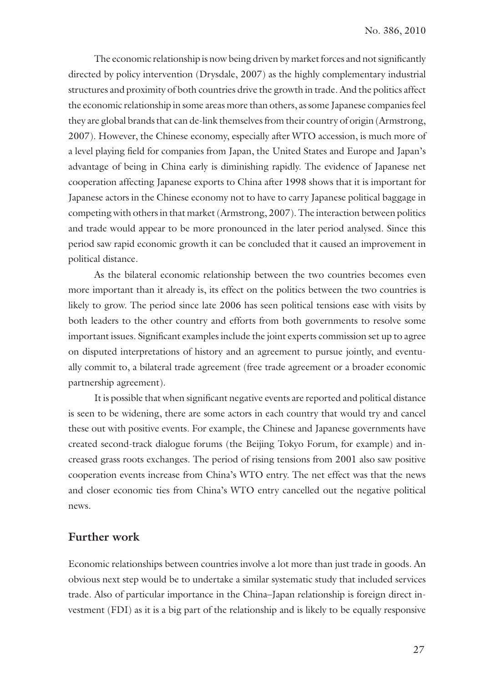The economic relationship is now being driven by market forces and not significantly directed by policy intervention (Drysdale, 2007) as the highly complementary industrial structures and proximity of both countries drive the growth in trade. And the politics affect the economic relationship in some areas more than others, as some Japanese companies feel they are global brands that can de-link themselves from their country of origin (Armstrong, 2007). However, the Chinese economy, especially after WTO accession, is much more of a level playing field for companies from Japan, the United States and Europe and Japan's advantage of being in China early is diminishing rapidly. The evidence of Japanese net cooperation affecting Japanese exports to China after 1998 shows that it is important for Japanese actors in the Chinese economy not to have to carry Japanese political baggage in competing with others in that market (Armstrong, 2007). The interaction between politics and trade would appear to be more pronounced in the later period analysed. Since this period saw rapid economic growth it can be concluded that it caused an improvement in political distance.

As the bilateral economic relationship between the two countries becomes even more important than it already is, its effect on the politics between the two countries is likely to grow. The period since late 2006 has seen political tensions ease with visits by both leaders to the other country and efforts from both governments to resolve some important issues. Significant examples include the joint experts commission set up to agree on disputed interpretations of history and an agreement to pursue jointly, and eventually commit to, a bilateral trade agreement (free trade agreement or a broader economic partnership agreement).

It is possible that when significant negative events are reported and political distance is seen to be widening, there are some actors in each country that would try and cancel these out with positive events. For example, the Chinese and Japanese governments have created second-track dialogue forums (the Beijing Tokyo Forum, for example) and increased grass roots exchanges. The period of rising tensions from 2001 also saw positive cooperation events increase from China's WTO entry. The net effect was that the news and closer economic ties from China's WTO entry cancelled out the negative political news.

## **Further work**

Economic relationships between countries involve a lot more than just trade in goods. An obvious next step would be to undertake a similar systematic study that included services trade. Also of particular importance in the China–Japan relationship is foreign direct investment (FDI) as it is a big part of the relationship and is likely to be equally responsive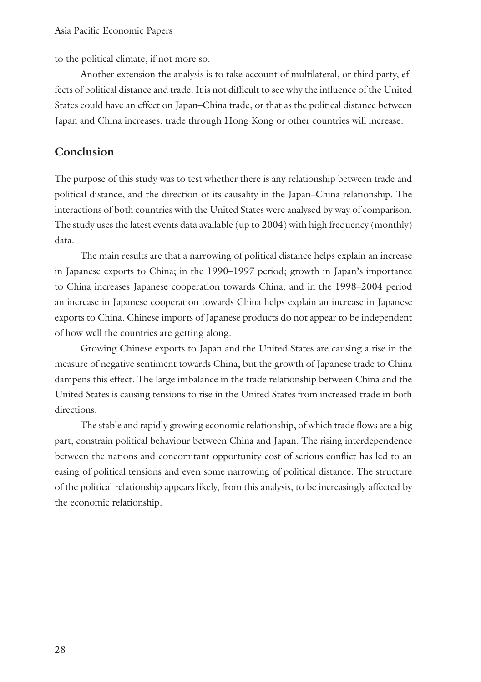to the political climate, if not more so.

Another extension the analysis is to take account of multilateral, or third party, effects of political distance and trade. It is not difficult to see why the influence of the United States could have an effect on Japan–China trade, or that as the political distance between Japan and China increases, trade through Hong Kong or other countries will increase.

## **Conclusion**

The purpose of this study was to test whether there is any relationship between trade and political distance, and the direction of its causality in the Japan–China relationship. The interactions of both countries with the United States were analysed by way of comparison. The study uses the latest events data available (up to 2004) with high frequency (monthly) data.

The main results are that a narrowing of political distance helps explain an increase in Japanese exports to China; in the 1990–1997 period; growth in Japan's importance to China increases Japanese cooperation towards China; and in the 1998–2004 period an increase in Japanese cooperation towards China helps explain an increase in Japanese exports to China. Chinese imports of Japanese products do not appear to be independent of how well the countries are getting along.

Growing Chinese exports to Japan and the United States are causing a rise in the measure of negative sentiment towards China, but the growth of Japanese trade to China dampens this effect. The large imbalance in the trade relationship between China and the United States is causing tensions to rise in the United States from increased trade in both directions.

The stable and rapidly growing economic relationship, of which trade flows are a big part, constrain political behaviour between China and Japan. The rising interdependence between the nations and concomitant opportunity cost of serious conflict has led to an easing of political tensions and even some narrowing of political distance. The structure of the political relationship appears likely, from this analysis, to be increasingly affected by the economic relationship.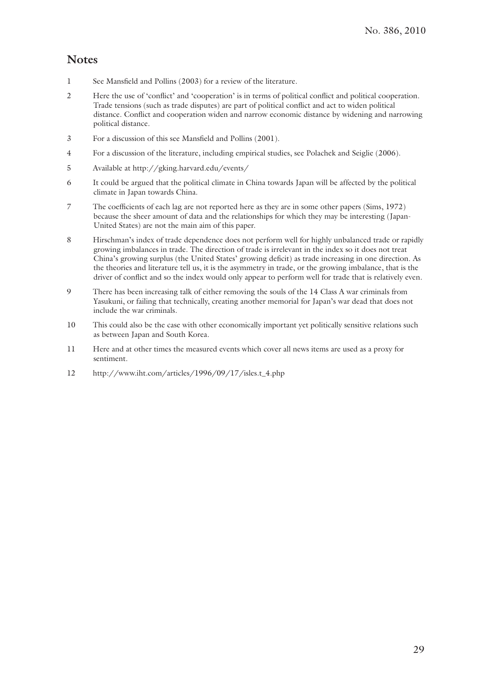## **Notes**

- 1 See Mansfield and Pollins (2003) for a review of the literature.
- 2 Here the use of 'conflict' and 'cooperation' is in terms of political conflict and political cooperation. Trade tensions (such as trade disputes) are part of political conflict and act to widen political distance. Conflict and cooperation widen and narrow economic distance by widening and narrowing political distance.
- 3 For a discussion of this see Mansfield and Pollins (2001).
- 4 For a discussion of the literature, including empirical studies, see Polachek and Seiglie (2006).
- 5 Available at http://gking.harvard.edu/events/
- 6 It could be argued that the political climate in China towards Japan will be affected by the political climate in Japan towards China.
- 7 The coefficients of each lag are not reported here as they are in some other papers (Sims, 1972) because the sheer amount of data and the relationships for which they may be interesting (Japan-United States) are not the main aim of this paper.
- 8 Hirschman's index of trade dependence does not perform well for highly unbalanced trade or rapidly growing imbalances in trade. The direction of trade is irrelevant in the index so it does not treat China's growing surplus (the United States' growing deficit) as trade increasing in one direction. As the theories and literature tell us, it is the asymmetry in trade, or the growing imbalance, that is the driver of conflict and so the index would only appear to perform well for trade that is relatively even.
- 9 There has been increasing talk of either removing the souls of the 14 Class A war criminals from Yasukuni, or failing that technically, creating another memorial for Japan's war dead that does not include the war criminals.
- 10 This could also be the case with other economically important yet politically sensitive relations such as between Japan and South Korea.
- 11 Here and at other times the measured events which cover all news items are used as a proxy for sentiment.
- 12 http://www.iht.com/articles/1996/09/17/isles.t\_4.php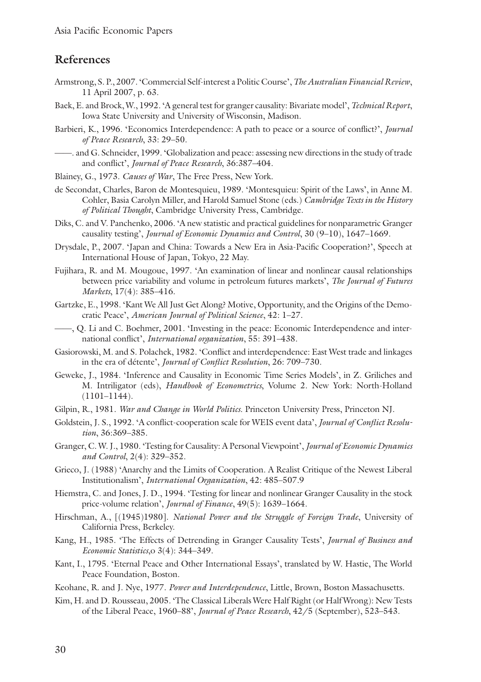## **References**

- Armstrong, S. P., 2007. 'Commercial Self-interest a Politic Course', *The Australian Financial Review*, 11 April 2007, p. 63.
- Baek, E. and Brock, W., 1992. 'A general test for granger causality: Bivariate model', *Technical Report*, Iowa State University and University of Wisconsin, Madison.
- Barbieri, K., 1996. 'Economics Interdependence: A path to peace or a source of conflict?', *Journal of Peace Research*, 33: 29–50.
- ——. and G. Schneider, 1999. 'Globalization and peace: assessing new directions in the study of trade and conflict', *Journal of Peace Research*, 36:387–404.
- Blainey, G., 1973. *Causes of War*, The Free Press, New York.
- de Secondat, Charles, Baron de Montesquieu, 1989. 'Montesquieu: Spirit of the Laws', in Anne M. Cohler, Basia Carolyn Miller, and Harold Samuel Stone (eds.) *Cambridge Texts in the History of Political Thought*, Cambridge University Press, Cambridge.
- Diks, C. and V. Panchenko, 2006. 'A new statistic and practical guidelines for nonparametric Granger causality testing', *Journal of Economic Dynamics and Control*, 30 (9–10), 1647–1669.
- Drysdale, P., 2007. 'Japan and China: Towards a New Era in Asia-Pacific Cooperation?', Speech at International House of Japan, Tokyo, 22 May.
- Fujihara, R. and M. Mougoue, 1997. 'An examination of linear and nonlinear causal relationships between price variability and volume in petroleum futures markets', *The Journal of Futures Markets*, 17(4): 385–416.
- Gartzke, E., 1998. 'Kant We All Just Get Along? Motive, Opportunity, and the Origins of the Democratic Peace', *American Journal of Political Science*, 42: 1–27.
- ——, Q. Li and C. Boehmer, 2001. 'Investing in the peace: Economic Interdependence and international conflict', *International organization*, 55: 391–438.
- Gasiorowski, M. and S. Polachek, 1982. 'Conflict and interdependence: East West trade and linkages in the era of détente', *Journal of Conflict Resolution*, 26: 709–730.
- Geweke, J., 1984. 'Inference and Causality in Economic Time Series Models', in Z. Griliches and M. Intriligator (eds), *Handbook of Econometrics*, Volume 2. New York: North-Holland (1101–1144).
- Gilpin, R., 1981. *War and Change in World Politics*. Princeton University Press, Princeton NJ.
- Goldstein, J. S., 1992. 'A conflict-cooperation scale for WEIS event data', *Journal of Conflict Resolution*, 36:369–385.
- Granger, C. W. J., 1980. 'Testing for Causality: A Personal Viewpoint', *Journal of Economic Dynamics and Control*, 2(4): 329–352.
- Grieco, J. (1988) 'Anarchy and the Limits of Cooperation. A Realist Critique of the Newest Liberal Institutionalism', *International Organization*, 42: 485–507.9
- Hiemstra, C. and Jones, J. D., 1994. 'Testing for linear and nonlinear Granger Causality in the stock price-volume relation', *Journal of Finance*, 49(5): 1639–1664.
- Hirschman, A., [(1945)1980]. *National Power and the Struggle of Foreign Trade*, University of California Press, Berkeley.
- Kang, H., 1985. 'The Effects of Detrending in Granger Causality Tests', *Journal of Business and Economic Statistics*,o 3(4): 344–349.
- Kant, I., 1795. 'Eternal Peace and Other International Essays', translated by W. Hastie, The World Peace Foundation, Boston.
- Keohane, R. and J. Nye, 1977. *Power and Interdependence*, Little, Brown, Boston Massachusetts.
- Kim, H. and D. Rousseau, 2005. 'The Classical Liberals Were Half Right (or Half Wrong): New Tests of the Liberal Peace, 1960–88', *Journal of Peace Research*, 42/5 (September), 523–543.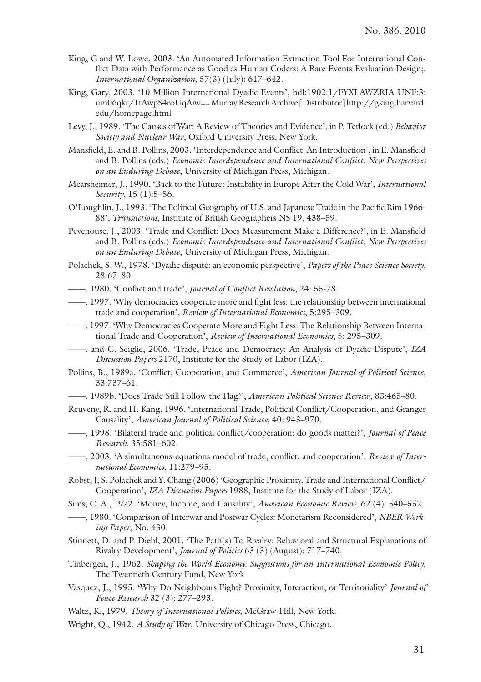- King, G and W. Lowe, 2003. 'An Automated Information Extraction Tool For International Conflict Data with Performance as Good as Human Coders: A Rare Events Evaluation Design;, *International Organization*, 57(3) (July): 617–642.
- King, Gary, 2003. '10 Million International Dyadic Events', hdl:1902.1/FYXLAWZRIA UNF:3: um06qkr/1tAwpS4roUqAiw== Murray Research Archive [Distributor] http://gking.harvard. edu/homepage.html
- Levy, J., 1989. 'The Causes of War: A Review of Theories and Evidence', in P. Tetlock (ed.) *Behavior Society and Nuclear War*, Oxford University Press, New York.
- Mansfield, E. and B. Pollins, 2003. 'Interdependence and Conflict: An Introduction', in E. Mansfield and B. Pollins (eds.) *Economic Interdependence and International Conflict: New Perspectives on an Enduring Debate*, University of Michigan Press, Michigan.
- Mearsheimer, J., 1990. 'Back to the Future: Instability in Europe After the Cold War', *International Security*, 15 (1):5–56.
- O'Loughlin, J., 1993. 'The Political Geography of U.S. and Japanese Trade in the Pacific Rim 1966- 88', *Transactions*, Institute of British Geographers NS 19, 438–59.
- Pevehouse, J., 2003. 'Trade and Conflict: Does Measurement Make a Difference?', in E. Mansfield and B. Pollins (eds.) *Economic Interdependence and International Conflict: New Perspectives on an Enduring Debate*, University of Michigan Press, Michigan.
- Polachek, S. W., 1978. 'Dyadic dispute: an economic perspective', *Papers of the Peace Science Society*, 28:67–80.
- ——. 1980. 'Conflict and trade', *Journal of Conflict Resolution*, 24: 55-78.
- ——. 1997. 'Why democracies cooperate more and fight less: the relationship between international trade and cooperation', *Review of International Economics*, 5:295–309.
- ——, 1997. 'Why Democracies Cooperate More and Fight Less: The Relationship Between International Trade and Cooperation', *Review of International Economics*, 5: 295–309.
- ——. and C. Seiglie, 2006. 'Trade, Peace and Democracy: An Analysis of Dyadic Dispute', *IZA Discussion Papers* 2170, Institute for the Study of Labor (IZA).
- Pollins, B., 1989a. 'Conflict, Cooperation, and Commerce', *American Journal of Political Science*, 33:737–61.
- ——. 1989b. 'Does Trade Still Follow the Flag?', *American Political Science Review*, 83:465–80.
- Reuveny, R. and H. Kang, 1996. 'International Trade, Political Conflict/Cooperation, and Granger Causality', *American Journal of Political Science*, 40: 943–970.
- ——, 1998. 'Bilateral trade and political conflict/cooperation: do goods matter?', *Journal of Peace Research*, 35:581–602.
- ——, 2003. 'A simultaneous-equations model of trade, conflict, and cooperation', *Review of International Economics*, 11:279–95.
- Robst, J, S. Polachek and Y. Chang (2006) 'Geographic Proximity, Trade and International Conflict/ Cooperation', *IZA Discussion Papers* 1988, Institute for the Study of Labor (IZA).
- Sims, C. A., 1972. 'Money, Income, and Causality', *American Economic Review*, 62 (4): 540–552.
- ——, 1980. 'Comparison of Interwar and Postwar Cycles: Monetarism Reconsidered', *NBER Working Paper*, No. 430.
- Stinnett, D. and P. Diehl, 2001. 'The Path(s) To Rivalry: Behavioral and Structural Explanations of Rivalry Development', *Journal of Politics* 63 (3) (August): 717–740.
- Tinbergen, J., 1962. *Shaping the World Economy: Suggestions for an International Economic Policy*, The Twentieth Century Fund, New York
- Vasquez, J., 1995. 'Why Do Neighbours Fight? Proximity, Interaction, or Territoriality' *Journal of Peace Research* 32 (3): 277–293.
- Waltz, K., 1979. *Theory of International Politics*, McGraw-Hill, New York.
- Wright, Q., 1942. *A Study of War*, University of Chicago Press, Chicago.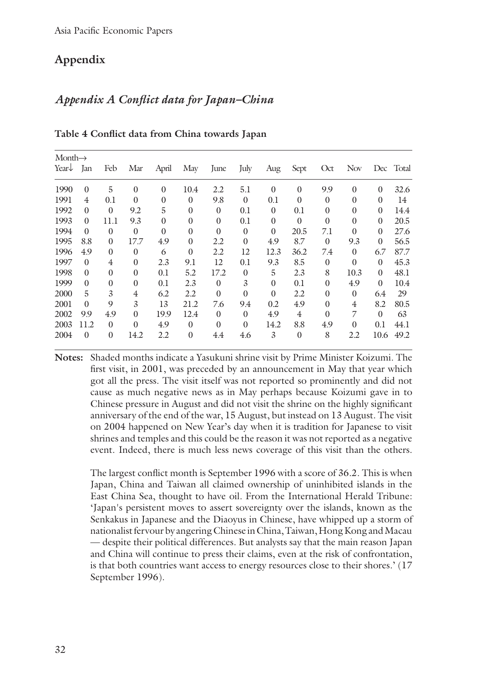## **Appendix**

## *Appendix A Conflict data for Japan–China*

| Month $\rightarrow$ |          |                |              |              |              |              |                |                |                |                |              |              |           |
|---------------------|----------|----------------|--------------|--------------|--------------|--------------|----------------|----------------|----------------|----------------|--------------|--------------|-----------|
| Year↓               | Jan      | Feb            | Mar          | April        | May          | June         | July           | Aug            | Sept           | Oct            | <b>Nov</b>   |              | Dec Total |
| 1990                | $\Omega$ | 5              | $\theta$     | $\theta$     | 10.4         | 2.2          | 5.1            | $\theta$       | $\Omega$       | 9.9            | $\theta$     | $\theta$     | 32.6      |
| 1991                | 4        | 0.1            | $\Omega$     | $\mathbf{0}$ | $\theta$     | 9.8          | $\theta$       | 0.1            | $\Omega$       | $\mathbf{0}$   | $\Omega$     | $\theta$     | 14        |
| 1992                | $\theta$ | $\Omega$       | 9.2          | 5            | $\theta$     | $\theta$     | 0.1            | $\theta$       | 0.1            | $\Omega$       | $\theta$     | $\theta$     | 14.4      |
| 1993                | $\theta$ | 11.1           | 9.3          | $\mathbf{0}$ | $\theta$     | $\theta$     | 0.1            | $\theta$       | $\mathbf{0}$   | $\Omega$       | $\theta$     | $\theta$     | 20.5      |
| 1994                | $\theta$ | $\Omega$       | $\mathbf{0}$ | $\Omega$     | $\theta$     | $\theta$     | $\mathbf{0}$   | $\theta$       | 20.5           | 7.1            | $\theta$     | $\Omega$     | 27.6      |
| 1995                | 8.8      | $\Omega$       | 17.7         | 4.9          | $\mathbf{0}$ | 2.2          | $\mathbf{0}$   | 4.9            | 8.7            | $\overline{0}$ | 9.3          | $\mathbf{0}$ | 56.5      |
| 1996                | 4.9      | $\Omega$       | $\theta$     | 6            | $\theta$     | 2.2          | 12             | 12.3           | 36.2           | 7.4            | $\Omega$     | 6.7          | 87.7      |
| 1997                | $\theta$ | $\overline{4}$ | $\mathbf{0}$ | 2.3          | 9.1          | 12           | 0.1            | 9.3            | 8.5            | $\overline{0}$ | $\mathbf{0}$ | $\mathbf{0}$ | 45.3      |
| 1998                | $\theta$ | $\Omega$       | $\mathbf{0}$ | 0.1          | 5.2          | 17.2         | $\overline{0}$ | 5              | 2.3            | 8              | 10.3         | $\mathbf{0}$ | 48.1      |
| 1999                | $\theta$ | $\theta$       | $\mathbf{0}$ | 0.1          | 2.3          | $\mathbf{0}$ | 3              | $\overline{0}$ | 0.1            | $\overline{0}$ | 4.9          | $\mathbf{0}$ | 10.4      |
| 2000                | 5        | 3              | 4            | 6.2          | 2.2          | $\theta$     | $\theta$       | $\theta$       | 2.2            | $\Omega$       | $\Omega$     | 6.4          | 29        |
| 2001                | $\Omega$ | 9              | 3            | 13           | 21.2         | 7.6          | 9.4            | 0.2            | 4.9            | $\mathbf{0}$   | 4            | 8.2          | 80.5      |
| 2002                | 9.9      | 4.9            | $\Omega$     | 19.9         | 12.4         | $\mathbf{0}$ | $\theta$       | 4.9            | $\overline{4}$ | $\Omega$       | 7            | $\theta$     | 63        |
| 2003                | 11.2     | $\Omega$       | $\theta$     | 4.9          | $\mathbf{0}$ | $\mathbf{0}$ | $\Omega$       | 14.2           | 8.8            | 4.9            | $\theta$     | 0.1          | 44.1      |
| 2004                | $\Omega$ | $\Omega$       | 14.2         | 2.2          | $\theta$     | 4.4          | 4.6            | 3              | $\theta$       | 8              | 2.2          | 10.6         | 49.2      |

#### **Table 4 Conflict data from China towards Japan**

**Notes:** Shaded months indicate a Yasukuni shrine visit by Prime Minister Koizumi. The first visit, in 2001, was preceded by an announcement in May that year which got all the press. The visit itself was not reported so prominently and did not cause as much negative news as in May perhaps because Koizumi gave in to Chinese pressure in August and did not visit the shrine on the highly significant anniversary of the end of the war, 15 August, but instead on 13 August. The visit on 2004 happened on New Year's day when it is tradition for Japanese to visit shrines and temples and this could be the reason it was not reported as a negative event. Indeed, there is much less news coverage of this visit than the others.

The largest conflict month is September 1996 with a score of 36.2. This is when Japan, China and Taiwan all claimed ownership of uninhibited islands in the East China Sea, thought to have oil. From the International Herald Tribune: 'Japan's persistent moves to assert sovereignty over the islands, known as the Senkakus in Japanese and the Diaoyus in Chinese, have whipped up a storm of nationalist fervour by angering Chinese in China, Taiwan, Hong Kong and Macau — despite their political differences. But analysts say that the main reason Japan and China will continue to press their claims, even at the risk of confrontation, is that both countries want access to energy resources close to their shores.' (17 September 1996).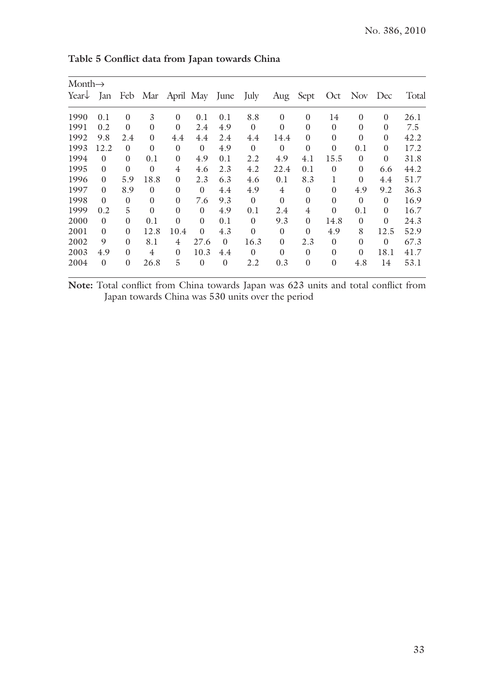| Month $\rightarrow$ |          |                  |                |                |              |                                       |              |                |                |                |              |              |       |
|---------------------|----------|------------------|----------------|----------------|--------------|---------------------------------------|--------------|----------------|----------------|----------------|--------------|--------------|-------|
|                     |          |                  |                |                |              | Year↓ Jan Feb Mar April May June July |              |                | Aug Sept       | Oct Nov Dec    |              |              | Total |
| 1990                | 0.1      | $\Omega$         | 3              | $\Omega$       | 0.1          | 0.1                                   | 8.8          | $\Omega$       | $\overline{0}$ | 14             | $\Omega$     | $\Omega$     | 26.1  |
| 1991                | 0.2      | $\Omega$         | $\theta$       | $\Omega$       | 2.4          | 4.9                                   | $\mathbf{0}$ | $\mathbf{0}$   | $\Omega$       | $\Omega$       | $\Omega$     | $\Omega$     | 7.5   |
| 1992                | 9.8      | 2.4              | $\Omega$       | 4.4            | 4.4          | 2.4                                   | 4.4          | 14.4           | $\theta$       | $\Omega$       | $\Omega$     | $\Omega$     | 42.2  |
| 1993                | 12.2     | $\Omega$         | $\Omega$       | $\Omega$       | $\theta$     | 4.9                                   | $\mathbf{0}$ | $\Omega$       | $\overline{0}$ | $\Omega$       | 0.1          | $\Omega$     | 17.2  |
| 1994                | $\Omega$ | $\Omega$         | 0.1            | $\Omega$       | 4.9          | 0.1                                   | 2.2          | 4.9            | 4.1            | 15.5           | $\Omega$     | $\mathbf{0}$ | 31.8  |
| 1995                | $\Omega$ | $\mathbf{0}$     | $\Omega$       | $\overline{4}$ | 4.6          | 2.3                                   | 4.2          | 22.4           | 0.1            | $\Omega$       | $\Omega$     | 6.6          | 44.2  |
| 1996                | $\Omega$ | 5.9              | 18.8           | $\Omega$       | 2.3          | 6.3                                   | 4.6          | 0.1            | 8.3            | 1              | $\Omega$     | 4.4          | 51.7  |
| 1997                | $\Omega$ | 8.9              | $\Omega$       | $\mathbf{0}$   | $\theta$     | 4.4                                   | 4.9          | $\overline{4}$ | $\overline{0}$ | $\Omega$       | 4.9          | 9.2          | 36.3  |
| 1998                | $\Omega$ | $\mathbf{0}$     | $\theta$       | $\Omega$       | 7.6          | 9.3                                   | $\mathbf{0}$ | $\mathbf{0}$   | $\overline{0}$ | $\Omega$       | $\Omega$     | $\mathbf{0}$ | 16.9  |
| 1999                | 0.2      | 5                | $\Omega$       | $\Omega$       | $\mathbf{0}$ | 4.9                                   | 0.1          | 2.4            | $\overline{4}$ | $\Omega$       | 0.1          | $\mathbf{0}$ | 16.7  |
| 2000                | $\Omega$ | $\boldsymbol{0}$ | 0.1            | $\Omega$       | $\Omega$     | 0.1                                   | $\Omega$     | 9.3            | $\mathbf{0}$   | 14.8           | $\Omega$     | $\mathbf{0}$ | 24.3  |
| 2001                | $\theta$ | $\Omega$         | 12.8           | 10.4           | $\Omega$     | 4.3                                   | $\mathbf{0}$ | $\Omega$       | $\Omega$       | 4.9            | 8            | 12.5         | 52.9  |
| 2002                | 9        | $\mathbf{0}$     | 8.1            | $\overline{4}$ | 27.6         | $\Omega$                              | 16.3         | $\mathbf{0}$   | 2.3            | $\Omega$       | $\mathbf{0}$ | $\mathbf{0}$ | 67.3  |
| 2003                | 4.9      | $\mathbf{0}$     | $\overline{4}$ | $\Omega$       | 10.3         | 4.4                                   | $\mathbf{0}$ | $\mathbf{0}$   | $\mathbf{0}$   | $\Omega$       | $\Omega$     | 18.1         | 41.7  |
| 2004                | $\theta$ | $\boldsymbol{0}$ | 26.8           | 5              | $\theta$     | $\overline{0}$                        | 2.2          | 0.3            | $\overline{0}$ | $\overline{0}$ | 4.8          | 14           | 53.1  |

**Table 5 Conflict data from Japan towards China**

**Note:** Total conflict from China towards Japan was 623 units and total conflict from Japan towards China was 530 units over the period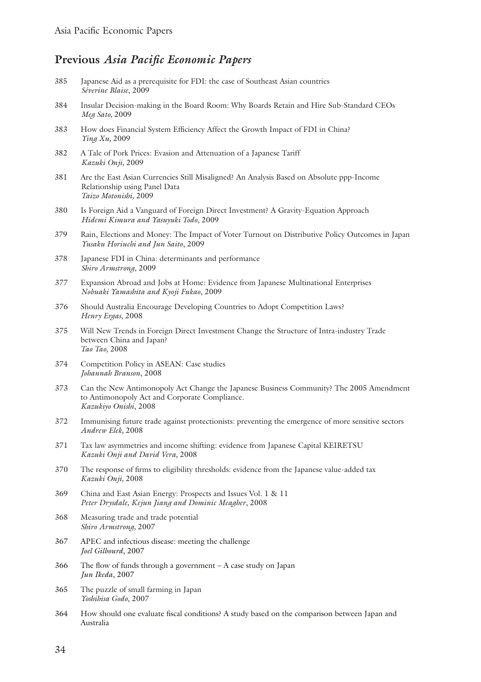## **Previous** *Asia Pacific Economic Papers*

| 385 | Japanese Aid as a prerequisite for FDI: the case of Southeast Asian countries<br>Séverine Blaise, 2009                                                            |
|-----|-------------------------------------------------------------------------------------------------------------------------------------------------------------------|
| 384 | Insular Decision-making in the Board Room: Why Boards Retain and Hire Sub-Standard CEOs<br>Meg Sato, 2009                                                         |
| 383 | How does Financial System Efficiency Affect the Growth Impact of FDI in China?<br><i>Ying Xu</i> , 2009                                                           |
| 382 | A Tale of Pork Prices: Evasion and Attenuation of a Japanese Tariff<br>Kazuki Onji, 2009                                                                          |
| 381 | Are the East Asian Currencies Still Misaligned? An Analysis Based on Absolute ppp-Income<br>Relationship using Panel Data<br>Taizo Motonishi, 2009                |
| 380 | Is Foreign Aid a Vanguard of Foreign Direct Investment? A Gravity-Equation Approach<br>Hidemi Kimura and Yasuyuki Todo, 2009                                      |
| 379 | Rain, Elections and Money: The Impact of Voter Turnout on Distributive Policy Outcomes in Japan<br>Yusaku Horiuchi and Jun Saito, 2009                            |
| 378 | Japanese FDI in China: determinants and performance<br>Shiro Armstrong, 2009                                                                                      |
| 377 | Expansion Abroad and Jobs at Home: Evidence from Japanese Multinational Enterprises<br>Nobuaki Yamashita and Kyoji Fukao, 2009                                    |
| 376 | Should Australia Encourage Developing Countries to Adopt Competition Laws?<br>Henry Ergas, 2008                                                                   |
| 375 | Will New Trends in Foreign Direct Investment Change the Structure of Intra-industry Trade<br>between China and Japan?<br>Tao Tao, 2008                            |
| 374 | Competition Policy in ASEAN: Case studies<br>Johannah Branson, 2008                                                                                               |
| 373 | Can the New Antimonopoly Act Change the Japanese Business Community? The 2005 Amendment<br>to Antimonopoly Act and Corporate Compliance.<br>Kazukiyo Onishi, 2008 |
| 372 | Immunising future trade against protectionists: preventing the emergence of more sensitive sectors<br>Andrew Elek, 2008                                           |
| 371 | Tax law asymmetries and income shifting: evidence from Japanese Capital KEIRETSU<br>Kazuki Onji and David Vera, 2008                                              |
| 370 | The response of firms to eligibility thresholds: evidence from the Japanese value-added tax<br>Kazuki Onji, 2008                                                  |
| 369 | China and East Asian Energy: Prospects and Issues Vol. 1 & 11<br>Peter Drysdale, Kejun Jiang and Dominic Meagher, 2008                                            |
| 368 | Measuring trade and trade potential<br>Shiro Armstrong, 2007                                                                                                      |
| 367 | APEC and infectious disease: meeting the challenge<br>Joel Gilbourd, 2007                                                                                         |
| 366 | The flow of funds through a government $-A$ case study on Japan<br>Jun Ikeda, 2007                                                                                |
| 365 | The puzzle of small farming in Japan<br>Yoshihisa Godo, 2007                                                                                                      |
| 364 | How should one evaluate fiscal conditions? A study based on the comparison between Japan and<br>Australia                                                         |